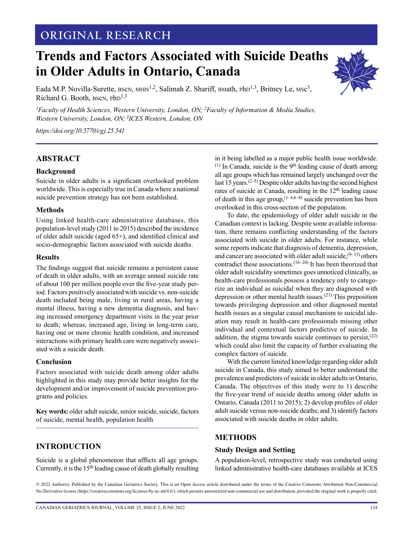# **ORIGINAL RESEARCH**

# **Trends and Factors Associated with Suicide Deaths in Older Adults in Ontario, Canada**

Eada M.P. Novilla-Surette, BSCN, MHIS<sup>1,2</sup>, Salimah Z. Shariff, BMath, PhD<sup>1,3</sup>, Britney Le, MSc<sup>3</sup>, Richard G. Booth, BSCN, PhD<sup>1,3</sup>

*1 Faculty of Health Sciences, Western University, London, ON; 2Faculty of Information & Media Studies, Western University, London, ON; 3ICES Western, London, ON* 

*<https://doi.org/10.5770/cgj.25.541>*

### **ABSTRACT**

### **Background**

Suicide in older adults is a significant overlooked problem worldwide. This is especially true in Canada where a national suicide prevention strategy has not been established.

#### **Methods**

Using linked health-care administrative databases, this population-level study (2011 to 2015) described the incidence of older adult suicide (aged 65+), and identified clinical and socio-demographic factors associated with suicide deaths.

#### **Results**

The findings suggest that suicide remains a persistent cause of death in older adults, with an average annual suicide rate of about 100 per million people over the five-year study period. Factors positively associated with suicide vs. non-suicide death included being male, living in rural areas, having a mental illness, having a new dementia diagnosis, and having increased emergency department visits in the year prior to death; whereas, increased age, living in long-term care, having one or more chronic health condition, and increased interactions with primary health care were negatively associated with a suicide death.

#### **Conclusion**

Factors associated with suicide death among older adults highlighted in this study may provide better insights for the development and/or improvement of suicide prevention programs and policies.

**Key words:** older adult suicide, senior suicide, suicide, factors of suicide, mental health, population health

### **INTRODUCTION**

Suicide is a global phenomenon that afflicts all age groups. Currently, it is the 15<sup>th</sup> leading cause of death globally resulting

in it being labelled as a major public health issue worldwide.  $(1)$  In Canada, suicide is the 9<sup>th</sup> leading cause of death among all age groups which has remained largely unchanged over the last 15 years.<sup> $(2-5)$ </sup> Despite older adults having the second highest rates of suicide in Canada, resulting in the 12<sup>th</sup> leading cause of death in this age group,  $(1-4,6-8)$  suicide prevention has been overlooked in this cross-section of the population.

To date, the epidemiology of older adult suicide in the Canadian context is lacking. Despite some available information, there remains conflicting understanding of the factors associated with suicide in older adults. For instance, while some reports indicate that diagnosis of dementia, depression, and cancer are associated with older adult suicide,  $(9-15)$  others contradict these associations.<sup> $(16-20)$ </sup> It has been theorized that older adult suicidality sometimes goes unnoticed clinically, as health-care professionals possess a tendency only to categorize an individual as suicidal when they are diagnosed with depression or other mental health issues.(21) This preposition towards privileging depression and other diagnosed mental health issues as a singular causal mechanism to suicidal ideation may result in health-care professionals missing other individual and contextual factors predictive of suicide. In addition, the stigma towards suicide continues to persist, $(22)$ which could also limit the capacity of further evaluating the complex factors of suicide.

With the current limited knowledge regarding older adult suicide in Canada, this study aimed to better understand the prevalence and predictors of suicide in older adults in Ontario, Canada. The objectives of this study were to 1) describe the five-year trend of suicide deaths among older adults in Ontario, Canada (2011 to 2015); 2) develop profiles of older adult suicide versus non-suicide deaths; and 3) identify factors associated with suicide deaths in older adults.

#### **METHODS**

### **Study Design and Setting**

A population-level, retrospective study was conducted using linked administrative health-care databases available at ICES

© 2022 Author(s). Published by the Canadian Geriatrics Society. This is an Open Access article distributed under the terms of the Creative Commons Attribution Non-Commercial No-Derivative license (https://creativecommons.org/licenses/by-nc-nd/4.0/), which permits unrestricted non-commercial use and distribution, provided the original work is properly cited.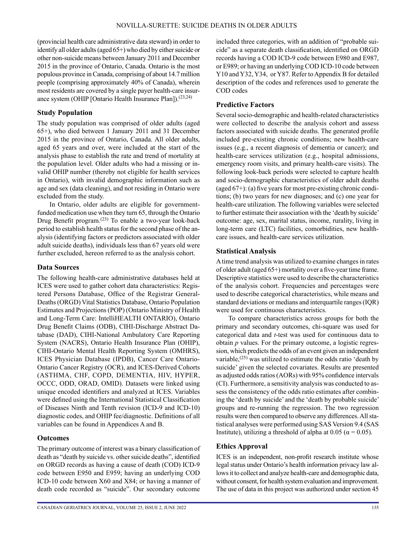(provincial health care administrative data steward) in order to identify all older adults (aged 65+) who died by either suicide or other non-suicide means between January 2011 and December 2015 in the province of Ontario, Canada. Ontario is the most populous province in Canada, comprising of about 14.7 million people (comprising approximately 40% of Canada), wherein most residents are covered by a single payer health-care insurance system (OHIP [Ontario Health Insurance Plan]).(23,24)

### **Study Population**

The study population was comprised of older adults (aged 65+), who died between 1 January 2011 and 31 December 2015 in the province of Ontario, Canada. All older adults, aged 65 years and over, were included at the start of the analysis phase to establish the rate and trend of mortality at the population level. Older adults who had a missing or invalid OHIP number (thereby not eligible for health services in Ontario), with invalid demographic information such as age and sex (data cleaning), and not residing in Ontario were excluded from the study.

In Ontario, older adults are eligible for governmentfunded medication use when they turn 65, through the Ontario Drug Benefit program.(23) To enable a two-year look-back period to establish health status for the second phase of the analysis (identifying factors or predictors associated with older adult suicide deaths), individuals less than 67 years old were further excluded, hereon referred to as the analysis cohort.

### **Data Sources**

The following health-care administrative databases held at ICES were used to gather cohort data characteristics: Registered Persons Database, Office of the Registrar General-Deaths (ORGD) Vital Statistics Database, Ontario Population Estimates and Projections (POP) (Ontario Ministry of Health and Long-Term Care: IntelliHEALTH ONTARIO), Ontario Drug Benefit Claims (ODB), CIHI-Discharge Abstract Database (DAD), CIHI-National Ambulatory Care Reporting System (NACRS), Ontario Health Insurance Plan (OHIP), CIHI-Ontario Mental Health Reporting System (OMHRS), ICES Physician Database (IPDB), Cancer Care Ontario-Ontario Cancer Registry (OCR), and ICES-Derived Cohorts (ASTHMA, CHF, COPD, DEMENTIA, HIV, HYPER, OCCC, ODD, ORAD, OMID). Datasets were linked using unique encoded identifiers and analyzed at ICES. Variables were defined using the International Statistical Classification of Diseases Ninth and Tenth revision (ICD-9 and ICD-10) diagnostic codes, and OHIP fee/diagnostic. Definitions of all variables can be found in Appendices A and B.

### **Outcomes**

The primary outcome of interest was a binary classification of death as "death by suicide vs. other suicide deaths", identified on ORGD records as having a cause of death (COD) ICD-9 code between E950 and E959; having an underlying COD ICD-10 code between X60 and X84; or having a manner of death code recorded as "suicide". Our secondary outcome included three categories, with an addition of "probable suicide" as a separate death classification, identified on ORGD records having a COD ICD-9 code between E980 and E987, or E989; or having an underlying COD ICD-10 code between Y10 and Y32, Y34, or Y87. Refer to Appendix B for detailed description of the codes and references used to generate the COD codes

### **Predictive Factors**

Several socio-demographic and health-related characteristics were collected to describe the analysis cohort and assess factors associated with suicide deaths. The generated profile included pre-existing chronic conditions; new health-care issues (e.g., a recent diagnosis of dementia or cancer); and health-care services utilization (e.g., hospital admissions, emergency room visits, and primary health-care visits). The following look-back periods were selected to capture health and socio-demographic characteristics of older adult deaths (aged 67+): (a) five years for most pre-existing chronic conditions; (b) two years for new diagnoses; and (c) one year for health-care utilization. The following variables were selected to further estimate their association with the 'death by suicide' outcome: age, sex, marital status, income, rurality, living in long-term care (LTC) facilities, comorbidities, new healthcare issues, and health-care services utilization.

### **Statistical Analysis**

A time trend analysis was utilized to examine changes in rates of older adult (aged 65+) mortality over a five-year time frame. Descriptive statistics were used to describe the characteristics of the analysis cohort. Frequencies and percentages were used to describe categorical characteristics, while means and standard deviations or medians and interquartile ranges (IQR) were used for continuous characteristics.

To compare characteristics across groups for both the primary and secondary outcomes, chi-square was used for categorical data and *t*-test was used for continuous data to obtain *p* values. For the primary outcome, a logistic regression, which predicts the odds of an event given an independent variable, $(25)$  was utilized to estimate the odds ratio 'death by suicide' given the selected covariates. Results are presented as adjusted odds ratios (AORs) with 95% confidence intervals (CI). Furthermore, a sensitivity analysis was conducted to assess the consistency of the odds ratio estimates after combining the 'death by suicide' and the 'death by probable suicide' groups and re-running the regression. The two regression results were then compared to observe any differences. All statistical analyses were performed using SAS Version 9.4 (SAS Institute), utilizing a threshold of alpha at 0.05 ( $\alpha$  = 0.05).

### **Ethics Approval**

ICES is an independent, non-profit research institute whose legal status under Ontario's health information privacy law allows it to collect and analyze health-care and demographic data, without consent, for health system evaluation and improvement. The use of data in this project was authorized under section 45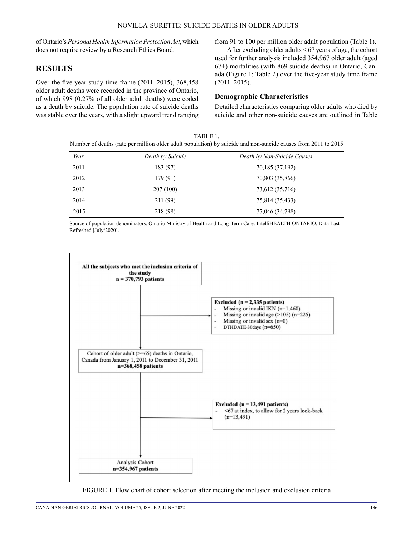of Ontario's *Personal Health Information Protection Act*, which does not require review by a Research Ethics Board.

### **RESULTS**

Over the five-year study time frame (2011–2015), 368,458 older adult deaths were recorded in the province of Ontario, of which 998 (0.27% of all older adult deaths) were coded as a death by suicide. The population rate of suicide deaths was stable over the years, with a slight upward trend ranging from 91 to 100 per million older adult population (Table 1).

After excluding older adults < 67 years of age, the cohort used for further analysis included 354,967 older adult (aged 67+) mortalities (with 869 suicide deaths) in Ontario, Canada (Figure 1; Table 2) over the five-year study time frame  $(2011-2015)$ .

### **Demographic Characteristics**

Detailed characteristics comparing older adults who died by suicide and other non-suicide causes are outlined in Table

TABLE 1. Number of deaths (rate per million older adult population) by suicide and non-suicide causes from 2011 to 2015

| Year | Death by Suicide | Death by Non-Suicide Causes |
|------|------------------|-----------------------------|
| 2011 | 183 (97)         | 70,185 (37,192)             |
| 2012 | 179 (91)         | 70,803 (35,866)             |
| 2013 | 207(100)         | 73,612 (35,716)             |
| 2014 | 211 (99)         | 75,814 (35,433)             |
| 2015 | 218 (98)         | 77,046 (34,798)             |

Source of population denominators: Ontario Ministry of Health and Long-Term Care: IntelliHEALTH ONTARIO, Data Last Refreshed [July/2020].



FIGURE 1. Flow chart of cohort selection after meeting the inclusion and exclusion criteria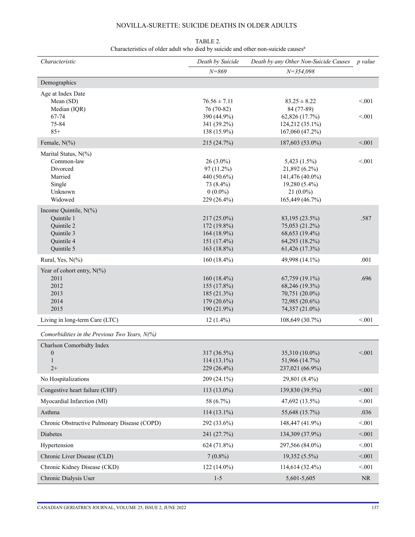| Characteristic                                                                              | Death by Suicide                                                                   | Death by any Other Non-Suicide Causes                                                              | p value          |
|---------------------------------------------------------------------------------------------|------------------------------------------------------------------------------------|----------------------------------------------------------------------------------------------------|------------------|
|                                                                                             | $N = 869$                                                                          | $N = 354,098$                                                                                      |                  |
| Demographics                                                                                |                                                                                    |                                                                                                    |                  |
| Age at Index Date<br>Mean (SD)<br>Median (IQR)<br>67-74<br>75-84<br>$85+$                   | $76.56 \pm 7.11$<br>76 (70-82)<br>390 (44.9%)<br>341 (39.2%)<br>138 (15.9%)        | $83.25 \pm 8.22$<br>84 (77-89)<br>62,826 (17.7%)<br>124,212 (35.1%)<br>167,060 (47.2%)             | < 0.01<br>< 0.01 |
| Female, $N(\% )$                                                                            | 215 (24.7%)                                                                        | 187,603 (53.0%)                                                                                    | < 001            |
| Marital Status, N(%)<br>Common-law<br>Divorced<br>Married<br>Single<br>Unknown<br>Widowed   | $26(3.0\%)$<br>97 (11.2%)<br>440 (50.6%)<br>73 (8.4%)<br>$0(0.0\%)$<br>229 (26.4%) | 5,423(1.5%)<br>21,892 (6.2%)<br>141,476 (40.0%)<br>19,280 (5.4%)<br>$21(0.0\%)$<br>165,449 (46.7%) | < 0.01           |
| Income Quintile, N(%)<br>Quintile 1<br>Quintile 2<br>Quintile 3<br>Quintile 4<br>Quintile 5 | $217(25.0\%)$<br>172 (19.8%)<br>164 (18.9%)<br>151 $(17.4\%)$<br>163 (18.8%)       | 83,195 (23.5%)<br>75,053 (21.2%)<br>68,653 (19.4%)<br>64,293 (18.2%)<br>61,426 (17.3%)             | .587             |
| Rural, Yes, $N(\%)$                                                                         | $160(18.4\%)$                                                                      | 49,998 (14.1%)                                                                                     | .001             |
| Year of cohort entry, $N(\%)$<br>2011<br>2012<br>2013<br>2014<br>2015                       | 160 $(18.4\%)$<br>155 (17.8%)<br>185 (21.3%)<br>$179(20.6\%)$<br>190 (21.9%)       | $67,759$ $(19.1\%)$<br>68,246 (19.3%)<br>70,751 (20.0%)<br>72,985 (20.6%)<br>74,357 (21.0%)        | .696             |
| Living in long-term Care (LTC)                                                              | $12(1.4\%)$                                                                        | 108,649 (30.7%)                                                                                    | < 001            |
| Comorbidities in the Previous Two Years, $N$ (%)                                            |                                                                                    |                                                                                                    |                  |
| Charlson Comorbidty Index<br>$\boldsymbol{0}$<br>$\mathbf{1}$<br>$2+$                       | 317 (36.5%)<br>$114(13.1\%)$<br>229 (26.4%)                                        | 35,310 (10.0%)<br>51,966 (14.7%)<br>237,021 (66.9%)                                                | < 0.01           |
| No Hospitalizations                                                                         | 209 (24.1%)                                                                        | 29,801 (8.4%)                                                                                      |                  |
| Congestive heart failure (CHF)                                                              | 113 (13.0%)                                                                        | 139,830 (39.5%)                                                                                    | < 001            |
| Myocardial Infarction (MI)                                                                  | 58 (6.7%)                                                                          | 47,692 (13.5%)                                                                                     | < 001            |
| Asthma                                                                                      | 114 (13.1%)                                                                        | 55,648 (15.7%)                                                                                     | .036             |
| Chronic Obstructive Pulmonary Disease (COPD)                                                | 292 (33.6%)                                                                        | 148,447 (41.9%)                                                                                    | < 001            |
| Diabetes                                                                                    | 241 (27.7%)                                                                        | 134,309 (37.9%)                                                                                    | < 0.01           |
| Hypertension                                                                                | 624 (71.8%)                                                                        | 297,566 (84.0%)                                                                                    | < 0.01           |
| Chronic Liver Disease (CLD)                                                                 | $7(0.8\%)$                                                                         | 19,352 (5.5%)                                                                                      | < 0.01           |
| Chronic Kidney Disease (CKD)                                                                | $122(14.0\%)$                                                                      | 114,614 (32.4%)                                                                                    | < 0.01           |
| Chronic Dialysis User                                                                       | $1 - 5$                                                                            | 5,601-5,605                                                                                        | $\rm NR$         |

TABLE 2. Characteristics of older adult who died by suicide and other non-suicide causes<sup>a</sup>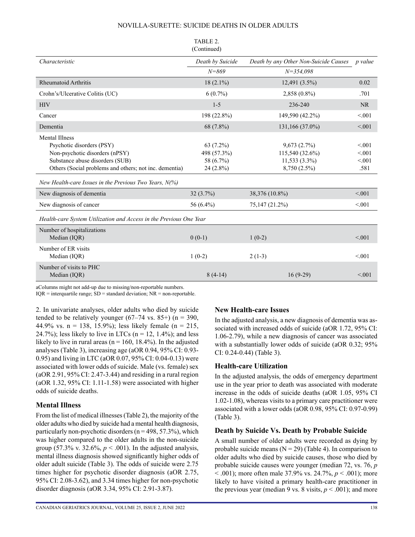|                                                                                                                                                                                   | IADLE 2.<br>(Continued)                              |                                                                 |                                    |
|-----------------------------------------------------------------------------------------------------------------------------------------------------------------------------------|------------------------------------------------------|-----------------------------------------------------------------|------------------------------------|
| Characteristic                                                                                                                                                                    | Death by Suicide                                     | Death by any Other Non-Suicide Causes                           | p value                            |
|                                                                                                                                                                                   | $N = 869$                                            | $N = 354,098$                                                   |                                    |
| <b>Rheumatoid Arthritis</b>                                                                                                                                                       | $18(2.1\%)$                                          | 12,491 (3.5%)                                                   | 0.02                               |
| Crohn's/Ulcerative Colitis (UC)                                                                                                                                                   | $6(0.7\%)$                                           | $2,858(0.8\%)$                                                  | .701                               |
| <b>HIV</b>                                                                                                                                                                        | $1 - 5$                                              | 236-240                                                         | <b>NR</b>                          |
| Cancer                                                                                                                                                                            | 198 (22.8%)                                          | 149,590 (42.2%)                                                 | < 0.01                             |
| Dementia                                                                                                                                                                          | 68 (7.8%)                                            | 131,166 (37.0%)                                                 | < 0.01                             |
| <b>Mental Illness</b><br>Psychotic disorders (PSY)<br>Non-psychotic disorders (nPSY)<br>Substance abuse disorders (SUB)<br>Others (Social problems and others; not inc. dementia) | 63 (7.2%)<br>498 (57.3%)<br>58 (6.7%)<br>$24(2.8\%)$ | 9,673(2.7%)<br>115,540 (32.6%)<br>11,533 (3.3%)<br>8,750 (2.5%) | < 0.01<br>< 0.01<br>< 0.01<br>.581 |
| New Health-care Issues in the Previous Two Years, $N$ (%)                                                                                                                         |                                                      |                                                                 |                                    |
| New diagnosis of dementia                                                                                                                                                         | 32(3.7%)                                             | 38,376 (10.8%)                                                  | < 0.01                             |
| New diagnosis of cancer                                                                                                                                                           | 56 $(6.4\%)$                                         | 75,147 (21.2%)                                                  | < 0.01                             |
| Health-care System Utilization and Access in the Previous One Year                                                                                                                |                                                      |                                                                 |                                    |
| Number of hospitalizations<br>Median (IQR)                                                                                                                                        | $0(0-1)$                                             | $1(0-2)$                                                        | < 0.001                            |
| Number of ER visits<br>Median (IQR)                                                                                                                                               | $1(0-2)$                                             | $2(1-3)$                                                        | < 0.01                             |
| Number of visits to PHC<br>Median (IQR)                                                                                                                                           | $8(4-14)$                                            | $16(9-29)$                                                      | < 0.01                             |

#### TABLE 2.

aColumns might not add-up due to missing/non-reportable numbers.

 $IQR =$  interquartile range;  $SD =$  standard deviation;  $NR =$  non-reportable.

2. In univariate analyses, older adults who died by suicide tended to be relatively younger  $(67-74 \text{ vs. } 85+)$  (n = 390, 44.9% vs.  $n = 138, 15.9%$ ; less likely female ( $n = 215$ , 24.7%); less likely to live in LTCs ( $n = 12$ , 1.4%); and less likely to live in rural areas ( $n = 160$ , 18.4%). In the adjusted analyses (Table 3), increasing age (aOR 0.94, 95% CI: 0.93- 0.95) and living in LTC (aOR 0.07, 95% CI: 0.04-0.13) were associated with lower odds of suicide. Male (vs. female) sex (aOR 2.91, 95% CI: 2.47-3.44) and residing in a rural region (aOR 1.32, 95% CI: 1.11-1.58) were associated with higher odds of suicide deaths.

### **Mental Illness**

From the list of medical illnesses (Table 2), the majority of the older adults who died by suicide had a mental health diagnosis, particularly non-psychotic disorders ( $n = 498, 57.3\%$ ), which was higher compared to the older adults in the non-suicide group (57.3% v. 32.6%,  $p < .001$ ). In the adjusted analysis, mental illness diagnosis showed significantly higher odds of older adult suicide (Table 3). The odds of suicide were 2.75 times higher for psychotic disorder diagnosis (aOR 2.75, 95% CI: 2.08-3.62), and 3.34 times higher for non-psychotic disorder diagnosis (aOR 3.34, 95% CI: 2.91-3.87).

### **New Health-care Issues**

In the adjusted analysis, a new diagnosis of dementia was associated with increased odds of suicide (aOR 1.72, 95% CI: 1.06-2.79), while a new diagnosis of cancer was associated with a substantially lower odds of suicide (aOR 0.32; 95%) CI: 0.24-0.44) (Table 3).

### **Health-care Utilization**

In the adjusted analysis, the odds of emergency department use in the year prior to death was associated with moderate increase in the odds of suicide deaths (aOR 1.05, 95% CI 1.02-1.08), whereas visits to a primary care practitioner were associated with a lower odds (aOR 0.98, 95% CI: 0.97-0.99) (Table 3).

### **Death by Suicide Vs. Death by Probable Suicide**

A small number of older adults were recorded as dying by probable suicide means  $(N = 29)$  (Table 4). In comparison to older adults who died by suicide causes, those who died by probable suicide causes were younger (median 72, vs. 76, *p* < .001); more often male 37.9% vs. 24.7%, *p* < .001); more likely to have visited a primary health-care practitioner in the previous year (median 9 vs. 8 visits,  $p < .001$ ); and more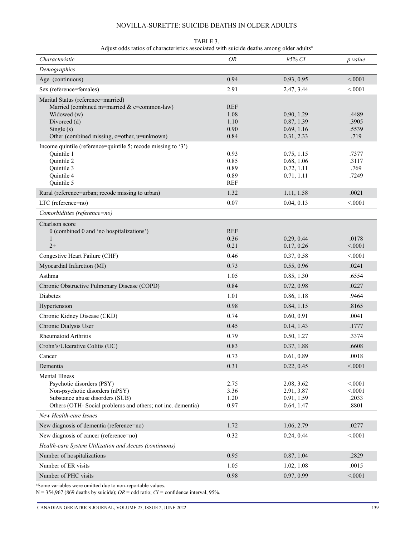| TABLE 3.                                                                                             |  |
|------------------------------------------------------------------------------------------------------|--|
| Adjust odds ratios of characteristics associated with suicide deaths among older adults <sup>a</sup> |  |

| Characteristic                                                                                                                                                                        | <b>OR</b>                                  | 95% CI                                               | p value                            |
|---------------------------------------------------------------------------------------------------------------------------------------------------------------------------------------|--------------------------------------------|------------------------------------------------------|------------------------------------|
| Demographics                                                                                                                                                                          |                                            |                                                      |                                    |
| Age (continuous)                                                                                                                                                                      | 0.94                                       | 0.93, 0.95                                           | < 0.001                            |
| Sex (reference=females)                                                                                                                                                               | 2.91                                       | 2.47, 3.44                                           | < 0001                             |
| Marital Status (reference=married)<br>Married (combined m=married & c=common-law)<br>Widowed (w)<br>Divorced (d)<br>Single $(s)$<br>Other (combined missing, o=other, u=unknown)      | <b>REF</b><br>1.08<br>1.10<br>0.90<br>0.84 | 0.90, 1.29<br>0.87, 1.39<br>0.69, 1.16<br>0.31, 2.33 | .4489<br>.3905<br>.5539<br>.719    |
| Income quintile (reference=quintile 5; recode missing to '3')<br>Quintile 1<br>Quintile 2<br>Quintile 3<br>Quintile 4<br>Quintile 5                                                   | 0.93<br>0.85<br>0.89<br>0.89<br>REF        | 0.75, 1.15<br>0.68, 1.06<br>0.72, 1.11<br>0.71, 1.11 | .7377<br>.3117<br>.769<br>.7249    |
| Rural (reference=urban; recode missing to urban)                                                                                                                                      | 1.32                                       | 1.11, 1.58                                           | .0021                              |
| LTC (reference=no)                                                                                                                                                                    | 0.07                                       | 0.04, 0.13                                           | < 0001                             |
| Comorbidities (reference=no)                                                                                                                                                          |                                            |                                                      |                                    |
| Charlson score<br>0 (combined 0 and 'no hospitalizations')<br>1<br>$2+$                                                                                                               | <b>REF</b><br>0.36<br>0.21                 | 0.29, 0.44<br>0.17, 0.26                             | .0178<br>< 0.001                   |
| Congestive Heart Failure (CHF)                                                                                                                                                        | 0.46                                       | 0.37, 0.58                                           | < .0001                            |
| Myocardial Infarction (MI)                                                                                                                                                            | 0.73                                       | 0.55, 0.96                                           | .0241                              |
| Asthma                                                                                                                                                                                | 1.05                                       | 0.85, 1.30                                           | .6554                              |
| Chronic Obstructive Pulmonary Disease (COPD)                                                                                                                                          | 0.84                                       | 0.72, 0.98                                           | .0227                              |
| Diabetes                                                                                                                                                                              | 1.01                                       | 0.86, 1.18                                           | .9464                              |
| Hypertension                                                                                                                                                                          | 0.98                                       | 0.84, 1.15                                           | .8165                              |
| Chronic Kidney Disease (CKD)                                                                                                                                                          | 0.74                                       | 0.60, 0.91                                           | .0041                              |
| Chronic Dialysis User                                                                                                                                                                 | 0.45                                       | 0.14, 1.43                                           | .1777                              |
| <b>Rheumatoid Arthritis</b>                                                                                                                                                           | 0.79                                       | 0.50, 1.27                                           | .3374                              |
| Crohn's/Ulcerative Colitis (UC)                                                                                                                                                       | 0.83                                       | 0.37, 1.88                                           | .6608                              |
| Cancer                                                                                                                                                                                | 0.73                                       | 0.61, 0.89                                           | .0018                              |
| Dementia                                                                                                                                                                              | 0.31                                       | 0.22, 0.45                                           | < 0001                             |
| <b>Mental Illness</b><br>Psychotic disorders (PSY)<br>Non-psychotic disorders (nPSY)<br>Substance abuse disorders (SUB)<br>Others (OTH-Social problems and others; not inc. dementia) | 2.75<br>3.36<br>1.20<br>0.97               | 2.08, 3.62<br>2.91, 3.87<br>0.91, 1.59<br>0.64, 1.47 | < 0001<br>< 0001<br>.2033<br>.8801 |
| New Health-care Issues                                                                                                                                                                |                                            |                                                      |                                    |
| New diagnosis of dementia (reference=no)                                                                                                                                              | 1.72                                       | 1.06, 2.79                                           | .0277                              |
| New diagnosis of cancer (reference=no)                                                                                                                                                | 0.32                                       | 0.24, 0.44                                           | < 0001                             |
| Health-care System Utilization and Access (continuous)                                                                                                                                |                                            |                                                      |                                    |
| Number of hospitalizations                                                                                                                                                            | 0.95                                       | 0.87, 1.04                                           | .2829                              |
| Number of ER visits                                                                                                                                                                   | 1.05                                       | 1.02, 1.08                                           | .0015                              |
| Number of PHC visits                                                                                                                                                                  | 0.98                                       | 0.97, 0.99                                           | < .0001                            |

a Some variables were omitted due to non-reportable values.

N = 354,967 (869 deaths by suicide);  $OR = \text{odd ratio}$ ;  $CI = \text{confidence interval}$ , 95%.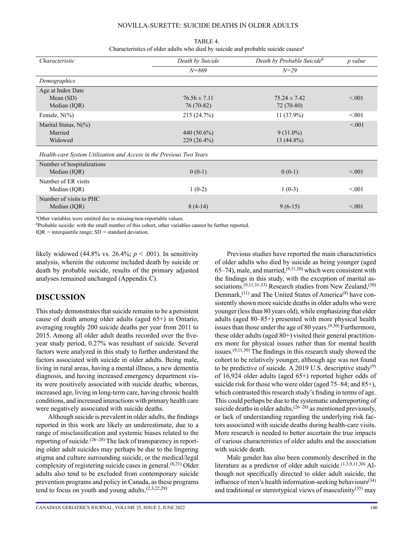| TABLE 4.                                                                                     |
|----------------------------------------------------------------------------------------------|
| Characteristics of older adults who died by suicide and probable suicide causes <sup>a</sup> |

| Characteristic                                                      | Death by Suicide | Death by Probable Suicideb | p value |
|---------------------------------------------------------------------|------------------|----------------------------|---------|
|                                                                     | $N = 869$        | $N = 29$                   |         |
| Demographics                                                        |                  |                            |         |
| Age at Index Date                                                   |                  |                            |         |
| Mean $(SD)$                                                         | $76.56 \pm 7.11$ | $75.24 \pm 7.42$           | < 0.01  |
| Median (IQR)                                                        | 76 (70-82)       | $72(70-80)$                |         |
| Female, $N(\%)$                                                     | 215 (24.7%)      | $11(37.9\%)$               | < 0.01  |
| Marital Status, $N(\%)$                                             |                  |                            | < 0.01  |
| Married                                                             | 440 $(50.6\%)$   | $9(31.0\%)$                |         |
| Widowed                                                             | $229(26.4\%)$    | $13(44.8\%)$               |         |
| Health-care System Utilization and Access in the Previous Two Years |                  |                            |         |
| Number of hospitalizations                                          |                  |                            |         |
| Median (IQR)                                                        | $0(0-1)$         | $0(0-1)$                   | < 0.01  |
| Number of ER visits                                                 |                  |                            |         |
| Median (IQR)                                                        | $1(0-2)$         | $1(0-3)$                   | < 0.01  |
| Number of visits to PHC                                             |                  |                            |         |
| Median (IQR)                                                        | $8(4-14)$        | $9(6-15)$                  | < 0.01  |

a Other variables were omitted due to missing/non-reportable values.

<sup>b</sup>Probable suicide: with the small number of this cohort, other variables cannot be further reported.

IQR *=* interquartile range; SD *=* standard deviation.

likely widowed  $(44.8\% \text{ vs. } 26.4\%; p < .001)$ . In sensitivity analysis, wherein the outcome included death by suicide or death by probable suicide, results of the primary adjusted analyses remained unchanged (Appendix C).

### **DISCUSSION**

This study demonstrates that suicide remains to be a persistent cause of death among older adults (aged 65+) in Ontario, averaging roughly 200 suicide deaths per year from 2011 to 2015. Among all older adult deaths recorded over the fiveyear study period, 0.27% was resultant of suicide. Several factors were analyzed in this study to further understand the factors associated with suicide in older adults. Being male, living in rural areas, having a mental illness, a new dementia diagnosis, and having increased emergency department visits were positively associated with suicide deaths; whereas, increased age, living in long-term care, having chronic health conditions, and increased interactions with primary health care were negatively associated with suicide deaths.

Although suicide is prevalent in older adults, the findings reported in this work are likely an underestimate, due to a range of misclassification and systemic biases related to the reporting of suicide.<sup> $(26-28)$ </sup> The lack of transparency in reporting older adult suicides may perhaps be due to the lingering stigma and culture surrounding suicide, or the medical/legal complexity of registering suicide cases in general.<sup>(8,21)</sup> Older adults also tend to be excluded from contemporary suicide prevention programs and policy in Canada, as these programs tend to focus on youth and young adults. $(2,3,22,29)$ 

Previous studies have reported the main characteristics of older adults who died by suicide as being younger (aged 65–74), male, and married,  $(9,11,30)$  which were consistent with the findings in this study, with the exception of marital associations.<sup> $(9,11,31-33)$ </sup> Research studies from New Zealand,<sup>(30)</sup> Denmark,<sup>(11)</sup> and The United States of America<sup>(9)</sup> have consistently shown more suicide deaths in older adults who were younger (less than 80 years old), while emphasizing that older adults (aged 80–85+) presented with more physical health issues than those under the age of 80 years.<sup> $(9,30)$ </sup> Furthermore, these older adults (aged 80+) visited their general practitioners more for physical issues rather than for mental health issues. $(9,11,30)$  The findings in this research study showed the cohort to be relatively younger, although age was not found to be predictive of suicide. A 2019 U.S. descriptive study<sup>(9)</sup> of 16,924 older adults (aged 65+) reported higher odds of suicide risk for those who were older (aged 75–84; and 85+), which contrasted this research study's finding in terms of age. This could perhaps be due to the systematic underreporting of suicide deaths in older adults,  $(26-28)$  as mentioned previously, or lack of understanding regarding the underlying risk factors associated with suicide deaths during health-care visits. More research is needed to better ascertain the true impacts of various characteristics of older adults and the association with suicide death.

Male gender has also been commonly described in the literature as a predictor of older adult suicide.<sup> $(1,3,9,11,30)$ </sup> Although not specifically directed to older adult suicide, the influence of men's health information-seeking behaviours<sup>(34)</sup> and traditional or stereotypical views of masculinity<sup>(35)</sup> may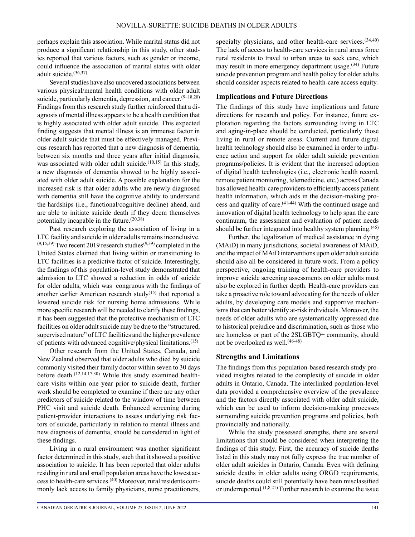perhaps explain this association. While marital status did not produce a significant relationship in this study, other studies reported that various factors, such as gender or income, could influence the association of marital status with older adult suicide.(36,37)

Several studies have also uncovered associations between various physical/mental health conditions with older adult suicide, particularly dementia, depression, and cancer.<sup>(9-18,20)</sup> Findings from this research study further reinforced that a diagnosis of mental illness appears to be a health condition that is highly associated with older adult suicide. This expected finding suggests that mental illness is an immense factor in older adult suicide that must be effectively managed. Previous research has reported that a new diagnosis of dementia, between six months and three years after initial diagnosis, was associated with older adult suicide.<sup> $(10,15)$ </sup> In this study, a new diagnosis of dementia showed to be highly associated with older adult suicide. A possible explanation for the increased risk is that older adults who are newly diagnosed with dementia still have the cognitive ability to understand the hardships (i.e., functional/cognitive decline) ahead, and are able to initiate suicide death if they deem themselves potentially incapable in the future.(20,38)

Past research exploring the association of living in a LTC facility and suicide in older adults remains inconclusive.  $(9,15,39)$  Two recent 2019 research studies<sup> $(9,39)$ </sup> completed in the United States claimed that living within or transitioning to LTC facilities is a predictive factor of suicide. Interestingly, the findings of this population-level study demonstrated that admission to LTC showed a reduction in odds of suicide for older adults, which was congruous with the findings of another earlier American research study<sup> $(15)$ </sup> that reported a lowered suicide risk for nursing home admissions. While more specific research will be needed to clarify these findings, it has been suggested that the protective mechanism of LTC facilities on older adult suicide may be due to the "structured, supervised nature" of LTC facilities and the higher prevalence of patients with advanced cognitive/physical limitations.(15)

Other research from the United States, Canada, and New Zealand observed that older adults who died by suicide commonly visited their family doctor within seven to 30 days before death.(12,14,17,30) While this study examined healthcare visits within one year prior to suicide death, further work should be completed to examine if there are any other predictors of suicide related to the window of time between PHC visit and suicide death. Enhanced screening during patient-provider interactions to assess underlying risk factors of suicide, particularly in relation to mental illness and new diagnosis of dementia, should be considered in light of these findings.

Living in a rural environment was another significant factor determined in this study, such that it showed a positive association to suicide. It has been reported that older adults residing in rural and small population areas have the lowest access to health-care services.(40) Moreover, rural residents commonly lack access to family physicians, nurse practitioners, specialty physicians, and other health-care services. $(34,40)$ The lack of access to health-care services in rural areas force rural residents to travel to urban areas to seek care, which may result in more emergency department usage. $(34)$  Future suicide prevention program and health policy for older adults should consider aspects related to health-care access equity.

### **Implications and Future Directions**

The findings of this study have implications and future directions for research and policy. For instance, future exploration regarding the factors surrounding living in LTC and aging-in-place should be conducted, particularly those living in rural or remote areas. Current and future digital health technology should also be examined in order to influence action and support for older adult suicide prevention programs/policies. It is evident that the increased adoption of digital health technologies (i.e., electronic health record, remote patient monitoring, telemedicine, etc.) across Canada has allowed health-care providers to efficiently access patient health information, which aids in the decision-making process and quality of care.(41-44) With the continued usage and innovation of digital health technology to help span the care continuum, the assessment and evaluation of patient needs should be further integrated into healthy system planning.<sup> $(45)$ </sup>

Further, the legalization of medical assistance in dying (MAiD) in many jurisdictions, societal awareness of MAiD, and the impact of MAiD interventions upon older adult suicide should also all be considered in future work. From a policy perspective, ongoing training of health-care providers to improve suicide screening assessments on older adults must also be explored in further depth. Health-care providers can take a proactive role toward advocating for the needs of older adults, by developing care models and supportive mechanisms that can better identify at-risk individuals. Moreover, the needs of older adults who are systematically oppressed due to historical prejudice and discrimination, such as those who are homeless or part of the 2SLGBTQ+ community, should not be overlooked as well.(46-48)

### **Strengths and Limitations**

The findings from this population-based research study provided insights related to the complexity of suicide in older adults in Ontario, Canada. The interlinked population-level data provided a comprehensive overview of the prevalence and the factors directly associated with older adult suicide, which can be used to inform decision-making processes surrounding suicide prevention programs and policies, both provincially and nationally.

While the study possessed strengths, there are several limitations that should be considered when interpreting the findings of this study. First, the accuracy of suicide deaths listed in this study may not fully express the true number of older adult suicides in Ontario, Canada. Even with defining suicide deaths in older adults using ORGD requirements, suicide deaths could still potentially have been misclassified or underreported.(1,8,21) Further research to examine the issue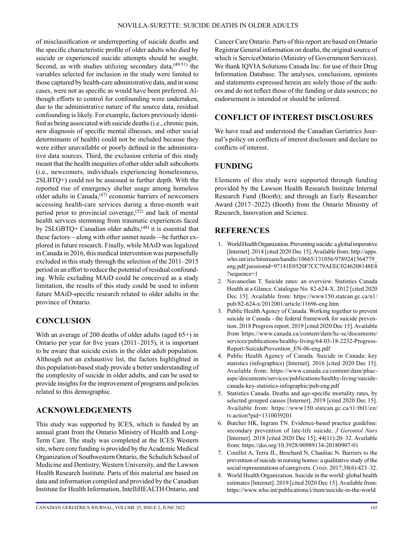of misclassification or underreporting of suicide deaths and the specific characteristic profile of older adults who died by suicide or experienced suicide attempts should be sought. Second, as with studies utilizing secondary data,<sup>(49-51)</sup> the variables selected for inclusion in the study were limited to those captured by health-care administrative data, and in some cases, were not as specific as would have been preferred. Although efforts to control for confounding were undertaken, due to the administrative nature of the source data, residual confounding is likely. For example, factors previously identified as being associated with suicide deaths (i.e., chronic pain, new diagnosis of specific mental illnesses, and other social determinants of health) could not be included because they were either unavailable or poorly defined in the administrative data sources. Third, the exclusion criteria of this study meant that the health inequities of other older adult subcohorts (i.e., newcomers, individuals experiencing homelessness, 2SLBTQ+) could not be assessed in further depth. With the reported rise of emergency shelter usage among homeless older adults in Canada, $(47)$  economic barriers of newcomers accessing health-care services during a three-month wait period prior to provincial coverage,  $(52)$  and lack of mental health services stemming from traumatic experiences faced by 2SLGBTQ+ Canadian older adults,<sup>(48)</sup> it is essential that these factors—along with other unmet needs—be further explored in future research. Finally, while MAiD was legalized in Canada in 2016, this medical intervention was purposefully excluded in this study through the selection of the 2011–2015 period in an effort to reduce the potential of residual confounding. While excluding MAiD could be conceived as a study limitation, the results of this study could be used to inform future MAiD-specific research related to older adults in the province of Ontario.

# **CONCLUSION**

With an average of 200 deaths of older adults (aged 65+) in Ontario per year for five years (2011–2015), it is important to be aware that suicide exists in the older adult population. Although not an exhaustive list, the factors highlighted in this population-based study provide a better understanding of the complexity of suicide in older adults, and can be used to provide insights for the improvement of programs and policies related to this demographic.

# **ACKNOWLEDGEMENTS**

This study was supported by ICES, which is funded by an annual grant from the Ontario Ministry of Health and Long-Term Care. The study was completed at the ICES Western site, where core funding is provided by the Academic Medical Organization of Southwestern Ontario, the Schulich School of Medicine and Dentistry, Western University, and the Lawson Health Research Institute. Parts of this material are based on data and information compiled and provided by the Canadian Institute for Health Information, IntelliHEALTH Ontario, and

Cancer Care Ontario. Parts of this report are based on Ontario Registrar General information on deaths, the original source of which is ServiceOntario (Ministry of Government Services). We thank IQVIA Solutions Canada Inc. for use of their Drug Information Database. The analyses, conclusions, opinions and statements expressed herein are solely those of the authors and do not reflect those of the funding or data sources; no endorsement is intended or should be inferred.

# **CONFLICT OF INTEREST DISCLOSURES**

We have read and understood the Canadian Geriatrics Journal's policy on conflicts of interest disclosure and declare no conflicts of interest.

# **FUNDING**

Elements of this study were supported through funding provided by the Lawson Health Research Institute Internal Research Fund (Booth); and through an Early Researcher Award (2017–2022) (Booth) from the Ontario Ministry of Research, Innovation and Science.

### **REFERENCES**

- 1. World Health Organization. Preventing suicide: a global imperative [Internet]. 2014 [cited 2020 Dec 15]. Available from: [http://apps.](http://apps.who.int/iris/bitstream/handle/10665/131056/9789241564779_eng.pdf;jsessionid=97141E0520F7CC79AEEC0246208148E8?sequence=1) [who.int/iris/bitstream/handle/10665/131056/9789241564779\\_](http://apps.who.int/iris/bitstream/handle/10665/131056/9789241564779_eng.pdf;jsessionid=97141E0520F7CC79AEEC0246208148E8?sequence=1) [eng.pdf;jsessionid=97141E0520F7CC79AEEC0246208148E8](http://apps.who.int/iris/bitstream/handle/10665/131056/9789241564779_eng.pdf;jsessionid=97141E0520F7CC79AEEC0246208148E8?sequence=1) [?sequence=1](http://apps.who.int/iris/bitstream/handle/10665/131056/9789241564779_eng.pdf;jsessionid=97141E0520F7CC79AEEC0246208148E8?sequence=1)
- 2. Navaneelan T. Suicide rates: an overview. Statistics Canada Health at a Glance. Catalogue No. 82-624-X. 2012 [cited 2020 Dec 15]. Available from: https://www150.statcan.gc.ca/n1/ pub/82-624-x/2012001/article/11696-eng.htm
- 3. Public Health Agency of Canada. Working together to prevent suicide in Canada - the federal framework for suicide prevention. 2018 Progress report. 2019 [cited 2020 Dec 15]. Available from [https://www.canada.ca/content/dam/hc-sc/documents/](https://www.canada.ca/content/dam/hc-sc/documents/services/publications/healthy-living/64-03-18-2232-ProgressReport-SuicidePrevention_EN-06-eng.pdf) [services/publications/healthy-living/64-03-18-2232-Progress-](https://www.canada.ca/content/dam/hc-sc/documents/services/publications/healthy-living/64-03-18-2232-ProgressReport-SuicidePrevention_EN-06-eng.pdf)[Report-SuicidePrevention\\_EN-06-eng.pdf](https://www.canada.ca/content/dam/hc-sc/documents/services/publications/healthy-living/64-03-18-2232-ProgressReport-SuicidePrevention_EN-06-eng.pdf)
- 4. Public Health Agency of Canada. Suicide in Canada: key statistics (infographics) [Internet]. 2016 [cited 2020 Dec 15]. Available from: [https://www.canada.ca/content/dam/phac](https://www.canada.ca/content/dam/phac-aspc/documents/services/publications/healthy-living/suicide-canada-key-statistics-infographic/pub-eng.pdf)[aspc/documents/services/publications/healthy-living/suicide](https://www.canada.ca/content/dam/phac-aspc/documents/services/publications/healthy-living/suicide-canada-key-statistics-infographic/pub-eng.pdf)[canada-key-statistics-infographic/pub-eng.pdf](https://www.canada.ca/content/dam/phac-aspc/documents/services/publications/healthy-living/suicide-canada-key-statistics-infographic/pub-eng.pdf)
- 5. Statistics Canada. Deaths and age-specific mortality rates, by selected grouped causes [Internet]. 2019 [cited 2020 Dec 15]. Available from: [https://www150.statcan.gc.ca/t1/tbl1/en/](https://www150.statcan.gc.ca/t1/tbl1/en/tv.action?pid=1310039201) [tv.action?pid=1310039201](https://www150.statcan.gc.ca/t1/tbl1/en/tv.action?pid=1310039201)
- 6. Butcher HK, Ingram TN. Evidence-based practice guideline: secondary prevention of late-life suicide. *J Gerontol Nurs* [Internet]. 2018 [cited 2020 Dec 15]; 44(11):20–32. Available from:<https://doi.org/10.3928/00989134-20180907-01>
- 7. Couillet A, Terra JL, Brochard N, Chauliac N. Barriers to the prevention of suicide in nursing homes: a qualitative study of the social representations of caregivers. *Crisis*. 2017;38(6):423–32.
- 8. World Health Organization. Suicide in the world: global health estimates [Internet]. 2019 [cited 2020 Dec 15]. Available from: <https://www.who.int/publications/i/item/suicide-in-the-world>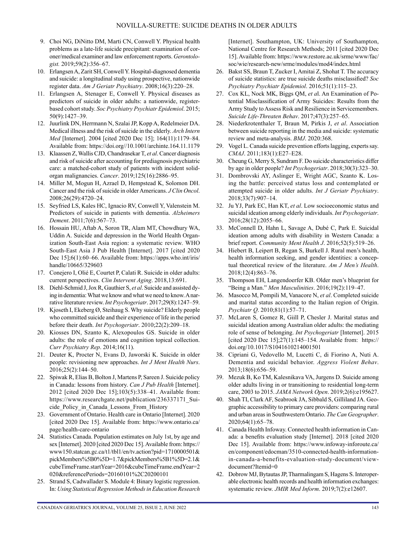- 9. Choi NG, DiNitto DM, Marti CN, Conwell Y. Physical health problems as a late-life suicide precipitant: examination of coroner/medical examiner and law enforcement reports. *Gerontologist.* 2019;59(2):356–67.
- 10. Erlangsen A, Zarit SH, Conwell Y. Hospital-diagnosed dementia and suicide: a longitudinal study using prospective, nationwide register data. *Am J Geriatr Psychiatry*. 2008;16(3):220–28.
- 11. Erlangsen A, Stenager E, Conwell Y. Physical diseases as predictors of suicide in older adults: a nationwide, registerbased cohort study. *Soc Psychiatry Psychiatr Epidemiol*. 2015; 50(9):1427–39.
- 12. Juurlink DN, Herrmann N, Szalai JP, Kopp A, Redelmeier DA. Medical illness and the risk of suicide in the elderly. *Arch Intern Med* [Internet]. 2004 [cited 2020 Dec 15]; 164(11):1179–84. Available from: <https://doi.org//10.1001/archinte.164.11.1179>
- 13. Klaassen Z, Wallis CJD, Chandrasekar T, *et al*. Cancer diagnosis and risk of suicide after accounting for prediagnosis psychiatric care: a matched-cohort study of patients with incident solidorgan malignancies. *Cancer*. 2019;125(16):2886–95.
- 14. Miller M, Mogun H, Azrael D, Hempstead K, Solomon DH. Cancer and the risk of suicide in older Americans. *J Clin Oncol*. 2008;26(29):4720–24.
- 15. Seyfried LS, Kales HC, Ignacio RV, Conwell Y, Valenstein M. Predictors of suicide in patients with dementia. *Alzheimers Dement*. 2011;7(6):567–73.
- 16. Hossain HU, Aftab A, Soron TR, Alam MT, Chowdhury WA, Uddin A. Suicide and depression in the World Health Organization South-East Asia region: a systematic review. WHO South-East Asia J Pub Health [Internet]. 2017 [cited 2020 Dec 15];6(1):60–66. Available from: https://apps.who.int/iris/ handle/10665/329603
- 17. Conejero I, Olié E, Courtet P, Calati R. Suicide in older adults: current perspectives. *Clin Intervent Aging*. 2018,13:691.
- 18. Diehl-Schmid J, Jox R, Gauthier S, *et al*. Suicide and assisted dying in dementia: What we know and what we need to know. A narrative literature review. *Int Psychogeriatr*. 2017;29(8):1247–59.
- 19. Kjoseth I, Ekeberg Ø, Steihaug S. Why suicide? Elderly people who committed suicide and their experience of life in the period before their death. *Int Psychogeriatr*. 2010;22(2):209–18.
- 20. Kiosses DN, Szanto K, Alexopoulos GS. Suicide in older adults: the role of emotions and cognition topical collection. *Curr Psychiatry Rep*. 2014;16(11).
- 21. Deuter K, Procter N, Evans D, Jaworski K. Suicide in older people: revisioning new approaches. *Int J Ment Health Nurs*. 2016;25(2):144–50.
- 22. Spiwak R, Elias B, Bolton J, Martens P, Sareen J. Suicide policy in Canada: lessons from history. *Can J Pub Health* [Internet]. 2012 [cited 2020 Dec 15];103(5):338–41. Available from: [https://www.researchgate.net/publication/236337171\\_Sui](https://www.researchgate.net/publication/236337171_Suicide_Policy_in_Canada_Lessons_From_History)cide Policy in Canada Lessons From History
- 23. Government of Ontario. Health care in Ontario [Internet]. 2020 [cited 2020 Dec 15]. Available from: [https://www.ontario.ca/](https://www.ontario.ca/page/health-care-ontario) [page/health-care-ontario](https://www.ontario.ca/page/health-care-ontario)
- 24. Statistics Canada. Population estimates on July 1st, by age and sex [Internet]. 2020 [cited 2020 Dec 15]. Available from: [https://](https://www150.statcan.gc.ca/t1/tbl1/en/tv.action?pid=1710000501&pickMembers%5B0%5D=1.7&pickMembers%5B1%5D=2.1&cubeTimeFrame.startYear=2016&cubeTimeFrame.endYear=2020&referencePeriods=20160101%2C20200101) [www150.statcan.gc.ca/t1/tbl1/en/tv.action?pid=1710000501&](https://www150.statcan.gc.ca/t1/tbl1/en/tv.action?pid=1710000501&pickMembers%5B0%5D=1.7&pickMembers%5B1%5D=2.1&cubeTimeFrame.startYear=2016&cubeTimeFrame.endYear=2020&referencePeriods=20160101%2C20200101) [pickMembers%5B0%5D=1.7&pickMembers%5B1%5D=2.1&](https://www150.statcan.gc.ca/t1/tbl1/en/tv.action?pid=1710000501&pickMembers%5B0%5D=1.7&pickMembers%5B1%5D=2.1&cubeTimeFrame.startYear=2016&cubeTimeFrame.endYear=2020&referencePeriods=20160101%2C20200101) [cubeTimeFrame.startYear=2016&cubeTimeFrame.endYear=2](https://www150.statcan.gc.ca/t1/tbl1/en/tv.action?pid=1710000501&pickMembers%5B0%5D=1.7&pickMembers%5B1%5D=2.1&cubeTimeFrame.startYear=2016&cubeTimeFrame.endYear=2020&referencePeriods=20160101%2C20200101) [020&referencePeriods=20160101%2C20200101](https://www150.statcan.gc.ca/t1/tbl1/en/tv.action?pid=1710000501&pickMembers%5B0%5D=1.7&pickMembers%5B1%5D=2.1&cubeTimeFrame.startYear=2016&cubeTimeFrame.endYear=2020&referencePeriods=20160101%2C20200101)
- 25. Strand S, Cadwallader S. Module 4: Binary logistic regression. In: *Using Statistical Regression Methods in Education Research*

[Internet]. Southampton, UK: University of Southampton, National Centre for Research Methods; 2011 [cited 2020 Dec 15]. Available from: [https://www.restore.ac.uk/srme/www/fac/](https://www.restore.ac.uk/srme/www/fac/soc/wie/research-new/srme/modules/mod4/index.html) [soc/wie/research-new/srme/modules/mod4/index.html](https://www.restore.ac.uk/srme/www/fac/soc/wie/research-new/srme/modules/mod4/index.html)

- 26. Bakst SS, Braun T, Zucker I, Amitai Z, Shohat T. The accuracy of suicide statistics: are true suicide deaths misclassified? *Soc Psychiatry Psychiatr Epidemiol*. 2016;51(1):115–23.
- 27. Cox KL, Nock MK, Biggs QM, *et a*l. An Examination of Potential Misclassification of Army Suicides: Results from the Army Study to Assess Risk and Resilience in Servicemembers. *Suicide Life-Threaten Behav*. 2017;47(3):257–65.
- 28. Niederkrotenthaler T, Braun M, Pirkis J, *et al*. Association between suicide reporting in the media and suicide: systematic review and meta-analysis. *BMJ*. 2020:368.
- 29. Vogel L. Canada suicide prevention efforts lagging, experts say. *CMAJ*. 2011;183(1):E27–E28.
- 30. Cheung G, Merry S, Sundram F. Do suicide characteristics differ by age in older people? *Int Psychogeriatr*. 2018;30(3):323–30.
- 31. Dombrovski AY, Aslinger E, Wright AGC, Szanto K. Losing the battle: perceived status loss and contemplated or attempted suicide in older adults. *Int J Geriatr Psychiatry*. 2018;33(7):907–14.
- 32. Ju YJ, Park EC, Han KT, *et al*. Low socioeconomic status and suicidal ideation among elderly individuals. *Int Psychogeriatr*. 2016;28(12):2055–66.
- 33. McConnell D, Hahn L, Savage A, Dubé C, Park E. Suicidal ideation among adults with disability in Western Canada: a brief report. *Community Ment Health J*. 2016;52(5):519–26.
- 34. Hiebert B, Leipert B, Regan S, Burkell J. Rural men's health, health information seeking, and gender identities: a conceptual theoretical review of the literature. *Am J Men's Health*. 2018;12(4):863–76.
- 35. Thompson EH, Langendoerfer KB. Older men's blueprint for "Being a Man." *Men Masculinities*. 2016;19(2):119–47.
- 36. Masocco M, Pompili M, Vanacore N, *et al*. Completed suicide and marital status according to the Italian region of Origin. *Psychiatr Q*. 2010;81(1):57–71.
- 37. McLaren S, Gomez R, Giill P, Chesler J. Marital status and suicidal ideation among Australian older adults: the mediating role of sense of belonging. *Int Psychogeriatr* [Internet]. 2015 [cited 2020 Dec 15];27(1):145–154. Available from: [https://](https://doi.org/10.1017/S1041610214001501) [doi.org/10.1017/S1041610214001501](https://doi.org/10.1017/S1041610214001501)
- 38. Cipriani G, Vedovello M, Lucetti C, di Fiorino A, Nuti A. Dementia and suicidal behavior. *Aggress Violent Behav*. 2013;18(6):656–59.
- 39. Mezuk B, Ko TM, Kalesnikava VA, Jurgens D. Suicide among older adults living in or transitioning to residential long-term care, 2003 to 2015. *JAMA Network Open*. 2019;2(6):e195627.
- 40. Shah TI, Clark AF, Seabrook JA, Sibbald S, Gilliland JA. Geographic accessibility to primary care providers: comparing rural and urban areas in Southwestern Ontario. *The Can Geographer*. 2020;64(1):65–78.
- 41. Canada Health Infoway. Connected health information in Canada: a benefits evaluation study [Internet]. 2018 [cited 2020 Dec 15]. Available from: [https://www.infoway-inforoute.ca/](https://www.infoway-inforoute.ca/en/component/edocman/3510-connected-health-information-in-canada-a-benefits-evaluation-study-document/view-document?Itemid=0) [en/component/edocman/3510-connected-health-information](https://www.infoway-inforoute.ca/en/component/edocman/3510-connected-health-information-in-canada-a-benefits-evaluation-study-document/view-document?Itemid=0)[in-canada-a-benefits-evaluation-study-document/view](https://www.infoway-inforoute.ca/en/component/edocman/3510-connected-health-information-in-canada-a-benefits-evaluation-study-document/view-document?Itemid=0)[document?Itemid=0](https://www.infoway-inforoute.ca/en/component/edocman/3510-connected-health-information-in-canada-a-benefits-evaluation-study-document/view-document?Itemid=0)
- 42. Dobrow MJ, Bytautas JP, Tharmalingam S, Hagens S. Interoperable electronic health records and health information exchanges: systematic review. *JMIR Med Inform*. 2019;7(2):e12607.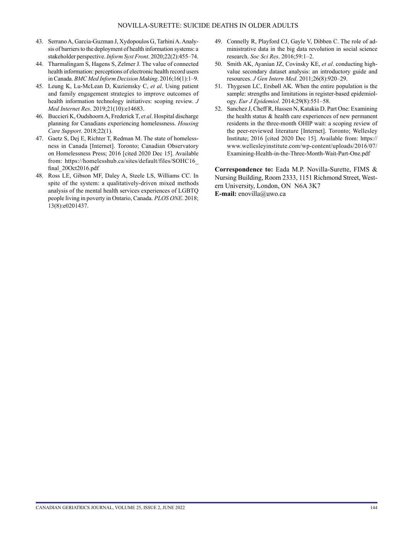- 43. Serrano A, Garcia-Guzman J, Xydopoulos G, Tarhini A. Analysis of barriers to the deployment of health information systems: a stakeholder perspective. *Inform Syst Front*. 2020;22(2):455–74.
- 44. Tharmalingam S, Hagens S, Zelmer J. The value of connected health information: perceptions of electronic health record users in Canada. *BMC Med Inform Decision Making*. 2016;16(1):1–9.
- 45. Leung K, Lu-McLean D, Kuziemsky C, *et al*. Using patient and family engagement strategies to improve outcomes of health information technology initiatives: scoping review. *J Med Internet Res*. 2019;21(10):e14683.
- 46. Buccieri K, Oudshoorn A, Frederick T, *et al*. Hospital discharge planning for Canadians experiencing homelessness. *Housing Care Support*. 2018;22(1).
- 47. Gaetz S, Dej E, Richter T, Redman M. The state of homelessness in Canada [Internet]. Toronto; Canadian Observatory on Homelessness Press; 2016 [cited 2020 Dec 15]. Available from: [https://homelesshub.ca/sites/default/files/SOHC16\\_](https://homelesshub.ca/sites/default/files/SOHC16_final_20Oct2016.pdf) [final\\_20Oct2016.pdf](https://homelesshub.ca/sites/default/files/SOHC16_final_20Oct2016.pdf)
- 48. Ross LE, Gibson MF, Daley A, Steele LS, Williams CC. In spite of the system: a qualitatively-driven mixed methods analysis of the mental health services experiences of LGBTQ people living in poverty in Ontario, Canada. *PLOS ONE*. 2018; 13(8):e0201437.
- 49. Connelly R, Playford CJ, Gayle V, Dibben C. The role of administrative data in the big data revolution in social science research. *Soc Sci Res*. 2016;59:1–2.
- 50. Smith AK, Ayanian JZ, Covinsky KE, *et al*. conducting highvalue secondary dataset analysis: an introductory guide and resources. *J Gen Intern Med*. 2011;26(8):920–29.
- 51. Thygesen LC, Ersbøll AK. When the entire population is the sample: strengths and limitations in register-based epidemiology. *Eur J Epidemiol*. 2014;29(8):551–58.
- 52. Sanchez J, Cheff R, Hassen N, Katakia D. Part One: Examining the health status & health care experiences of new permanent residents in the three-month OHIP wait: a scoping review of the peer-reviewed literature [Internet]. Toronto; Wellesley Institute; 2016 [cited 2020 Dec 15]. Available from: [https://](https://www.wellesleyinstitute.com/wp-content/uploads/2016/07/Examining-Health-in-the-Three-Month-Wait-Part-One.pdf) [www.wellesleyinstitute.com/wp-content/uploads/2016/07/](https://www.wellesleyinstitute.com/wp-content/uploads/2016/07/Examining-Health-in-the-Three-Month-Wait-Part-One.pdf) [Examining-Health-in-the-Three-Month-Wait-Part-One.pdf](https://www.wellesleyinstitute.com/wp-content/uploads/2016/07/Examining-Health-in-the-Three-Month-Wait-Part-One.pdf)

**Correspondence to:** Eada M.P. Novilla-Surette, FIMS & Nursing Building, Room 2333, 1151 Richmond Street, Western University, London, ON N6A 3K7 **E-mail:** [enovilla@uwo.ca](mailto:enovilla@uwo.ca)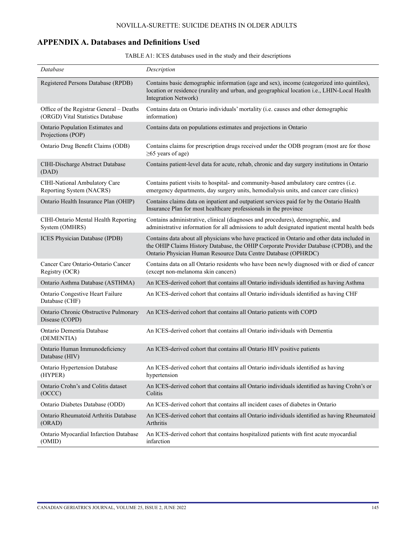## **APPENDIX A. Databases and Definitions Used**

|  | TABLE A1: ICES databases used in the study and their descriptions |  |  |  |  |  |
|--|-------------------------------------------------------------------|--|--|--|--|--|
|--|-------------------------------------------------------------------|--|--|--|--|--|

| Database                                                                     | Description                                                                                                                                                                                                                                             |
|------------------------------------------------------------------------------|---------------------------------------------------------------------------------------------------------------------------------------------------------------------------------------------------------------------------------------------------------|
| Registered Persons Database (RPDB)                                           | Contains basic demographic information (age and sex), income (categorized into quintiles),<br>location or residence (rurality and urban, and geographical location i.e., LHIN-Local Health<br>Integration Network)                                      |
| Office of the Registrar General - Deaths<br>(ORGD) Vital Statistics Database | Contains data on Ontario individuals' mortality (i.e. causes and other demographic<br>information)                                                                                                                                                      |
| Ontario Population Estimates and<br>Projections (POP)                        | Contains data on populations estimates and projections in Ontario                                                                                                                                                                                       |
| Ontario Drug Benefit Claims (ODB)                                            | Contains claims for prescription drugs received under the ODB program (most are for those<br>$\geq 65$ years of age)                                                                                                                                    |
| CIHI-Discharge Abstract Database<br>(DAD)                                    | Contains patient-level data for acute, rehab, chronic and day surgery institutions in Ontario                                                                                                                                                           |
| CIHI-National Ambulatory Care<br>Reporting System (NACRS)                    | Contains patient visits to hospital- and community-based ambulatory care centres (i.e.<br>emergency departments, day surgery units, hemodialysis units, and cancer care clinics)                                                                        |
| Ontario Health Insurance Plan (OHIP)                                         | Contains claims data on inpatient and outpatient services paid for by the Ontario Health<br>Insurance Plan for most healthcare professionals in the province                                                                                            |
| CIHI-Ontario Mental Health Reporting<br>System (OMHRS)                       | Contains administrative, clinical (diagnoses and procedures), demographic, and<br>administrative information for all admissions to adult designated inpatient mental health beds                                                                        |
| ICES Physician Database (IPDB)                                               | Contains data about all physicians who have practiced in Ontario and other data included in<br>the OHIP Claims History Database, the OHIP Corporate Provider Database (CPDB), and the<br>Ontario Physician Human Resource Data Centre Database (OPHRDC) |
| Cancer Care Ontario-Ontario Cancer<br>Registry (OCR)                         | Contains data on all Ontario residents who have been newly diagnosed with or died of cancer<br>(except non-melanoma skin cancers)                                                                                                                       |
| Ontario Asthma Database (ASTHMA)                                             | An ICES-derived cohort that contains all Ontario individuals identified as having Asthma                                                                                                                                                                |
| Ontario Congestive Heart Failure<br>Database (CHF)                           | An ICES-derived cohort that contains all Ontario individuals identified as having CHF                                                                                                                                                                   |
| Ontario Chronic Obstructive Pulmonary<br>Disease (COPD)                      | An ICES-derived cohort that contains all Ontario patients with COPD                                                                                                                                                                                     |
| Ontario Dementia Database<br>(DEMENTIA)                                      | An ICES-derived cohort that contains all Ontario individuals with Dementia                                                                                                                                                                              |
| Ontario Human Immunodeficiency<br>Database (HIV)                             | An ICES-derived cohort that contains all Ontario HIV positive patients                                                                                                                                                                                  |
| <b>Ontario Hypertension Database</b><br>(HYPER)                              | An ICES-derived cohort that contains all Ontario individuals identified as having<br>hypertension                                                                                                                                                       |
| Ontario Crohn's and Colitis dataset<br>(OCCC)                                | An ICES-derived cohort that contains all Ontario individuals identified as having Crohn's or<br>Colitis                                                                                                                                                 |
| Ontario Diabetes Database (ODD)                                              | An ICES-derived cohort that contains all incident cases of diabetes in Ontario                                                                                                                                                                          |
| Ontario Rheumatoid Arthritis Database<br>(ORAD)                              | An ICES-derived cohort that contains all Ontario individuals identified as having Rheumatoid<br>Arthritis                                                                                                                                               |
| Ontario Myocardial Infarction Database<br>(OMID)                             | An ICES-derived cohort that contains hospitalized patients with first acute myocardial<br>infarction                                                                                                                                                    |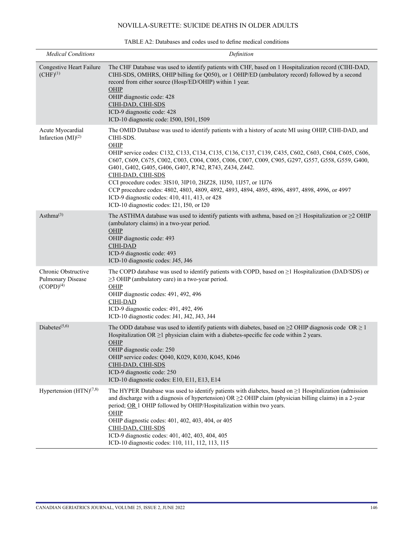| <b>Medical Conditions</b>                                  | Definition                                                                                                                                                                                                                                                                                                                                                                                                                                                                                                                                                                                                                                                                           |
|------------------------------------------------------------|--------------------------------------------------------------------------------------------------------------------------------------------------------------------------------------------------------------------------------------------------------------------------------------------------------------------------------------------------------------------------------------------------------------------------------------------------------------------------------------------------------------------------------------------------------------------------------------------------------------------------------------------------------------------------------------|
| Congestive Heart Failure<br>$(CHF)^{(1)}$                  | The CHF Database was used to identify patients with CHF, based on 1 Hospitalization record (CIHI-DAD,<br>CIHI-SDS, OMHRS, OHIP billing for Q050), or 1 OHIP/ED (ambulatory record) followed by a second<br>record from either source (Hosp/ED/OHIP) within 1 year.<br>$OHIP$<br>OHIP diagnostic code: 428<br>CIHI-DAD, CIHI-SDS<br>ICD-9 diagnostic code: 428<br>ICD-10 diagnostic code: I500, I501, I509                                                                                                                                                                                                                                                                            |
| Acute Myocardial<br>Infarction $(MI)^{(2)}$                | The OMID Database was used to identify patients with a history of acute MI using OHIP, CIHI-DAD, and<br>CIHI-SDS.<br>OHIP<br>OHIP service codes: C132, C133, C134, C135, C136, C137, C139, C435, C602, C603, C604, C605, C606,<br>C607, C609, C675, C002, C003, C004, C005, C006, C007, C009, C905, G297, G557, G558, G559, G400,<br>G401, G402, G405, G406, G407, R742, R743, Z434, Z442.<br>CIHI-DAD, CIHI-SDS<br>CCI procedure codes: 3IS10, 3IP10, 2HZ28, 1IJ50, 1IJ57, or 1IJ76<br>CCP procedure codes: 4802, 4803, 4809, 4892, 4893, 4894, 4895, 4896, 4897, 4898, 4996, or 4997<br>ICD-9 diagnostic codes: 410, 411, 413, or 428<br>ICD-10 diagnostic codes: I21, I50, or I20 |
| Asthma $^{(3)}$                                            | The ASTHMA database was used to identify patients with asthma, based on $\geq$ 1 Hospitalization or $\geq$ 2 OHIP<br>(ambulatory claims) in a two-year period.<br>OHIP<br>OHIP diagnostic code: 493<br><b>CIHI-DAD</b><br>ICD-9 diagnostic code: 493<br>ICD-10 diagnostic codes: J45, J46                                                                                                                                                                                                                                                                                                                                                                                            |
| Chronic Obstructive<br>Pulmonary Disease<br>$(COPD)^{(4)}$ | The COPD database was used to identify patients with COPD, based on $\geq 1$ Hospitalization (DAD/SDS) or<br>$\geq$ 3 OHIP (ambulatory care) in a two-year period.<br>OHIP<br>OHIP diagnostic codes: 491, 492, 496<br><b>CIHI-DAD</b><br>ICD-9 diagnostic codes: 491, 492, 496<br>ICD-10 diagnostic codes: J41, J42, J43, J44                                                                                                                                                                                                                                                                                                                                                        |
| Diabetes $(5,6)$                                           | The ODD database was used to identify patients with diabetes, based on $\geq$ OHIP diagnosis code OR $\geq$ 1<br>Hospitalization OR $\geq$ 1 physician claim with a diabetes-specific fee code within 2 years.<br>OHIP<br>OHIP diagnostic code: 250<br>OHIP service codes: Q040, K029, K030, K045, K046<br>CIHI-DAD, CIHI-SDS<br>ICD-9 diagnostic code: 250<br>ICD-10 diagnostic codes: E10, E11, E13, E14                                                                                                                                                                                                                                                                           |
| Hypertension (HTN) <sup>(7,8)</sup>                        | The HYPER Database was used to identify patients with diabetes, based on $\geq 1$ Hospitalization (admission<br>and discharge with a diagnosis of hypertension) $OR \ge 2$ OHIP claim (physician billing claims) in a 2-year<br>period; OR 1 OHIP followed by OHIP/Hospitalization within two years.<br>OHIP<br>OHIP diagnostic codes: 401, 402, 403, 404, or 405<br>CIHI-DAD, CIHI-SDS<br>ICD-9 diagnostic codes: 401, 402, 403, 404, 405<br>ICD-10 diagnostic codes: 110, 111, 112, 113, 115                                                                                                                                                                                       |

### TABLE A2: Databases and codes used to define medical conditions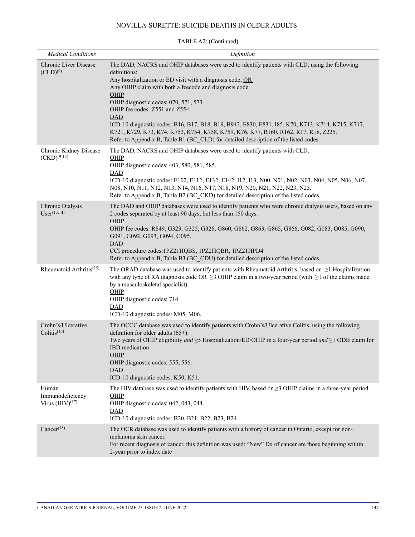| <b>Medical Conditions</b>                         | Definition                                                                                                                                                                                                                                                                                                                                                                                                                                                                                                                                                                                                             |
|---------------------------------------------------|------------------------------------------------------------------------------------------------------------------------------------------------------------------------------------------------------------------------------------------------------------------------------------------------------------------------------------------------------------------------------------------------------------------------------------------------------------------------------------------------------------------------------------------------------------------------------------------------------------------------|
| Chronic Liver Disease<br>$(CLD)^{(9)}$            | The DAD, NACRS and OHIP databases were used to identify patients with CLD, using the following<br>definitions:<br>Any hospitalization or ED visit with a diagnosis code, OR<br>Any OHIP claim with both a feecode and diagnosis code<br>OHIP<br>OHIP diagnostic codes: 070, 571, 573<br>OHIP fee codes: Z551 and Z554<br><b>DAD</b><br>ICD-10 diagnostic codes: B16, B17, B18, B19, B942, E830, E831, I85, K70, K713, K714, K715, K717,<br>K721, K729, K73, K74, K753, K754, K758, K759, K76, K77, R160, R162, R17, R18, Z225.<br>Refer to Appendix B, Table B1 (BC CLD) for detailed description of the listed codes. |
| Chronic Kidney Disease<br>$(CKD)^{(9-13)}$        | The DAD, NACRS and OHIP databases were used to identify patients with CLD.<br>OHIP<br>OHIP diagnostic codes: 403, 580, 581, 585.<br><b>DAD</b><br>ICD-10 diagnostic codes: E102, E112, E132, E142, I12, I13, N00, N01, N02, N03, N04, N05, N06, N07,<br>N08, N10, N11, N12, N13, N14, N16, N17, N18, N19, N20, N21, N22, N23, N25.<br>Refer to Appendix B, Table B2 (BC CKD) for detailed description of the listed codes.                                                                                                                                                                                             |
| Chronic Dialysis<br>$User^{(13,14)}$              | The DAD and OHIP databases were used to identify patients who were chronic dialysis users, based on any<br>2 codes separated by at least 90 days, but less than 150 days.<br>OHIP<br>OHIP fee codes: R849, G323, G325, G326, G860, G862, G863, G865, G866, G082, G083, G085, G090,<br>G091, G092, G093, G094, G095.<br><b>DAD</b><br>CCI procedure codes:1PZ21HQBS, 1PZ2HQBR, 1PZ21HPD4<br>Refer to Appendix B, Table B3 (BC CDU) for detailed description of the listed codes.                                                                                                                                        |
| Rheumatoid Arthritis <sup>(15)</sup>              | The ORAD database was used to identify patients with Rheumatoid Arthritis, based on $\geq 1$ Hospitalization<br>with any type of RA diagnosis code OR $\geq$ 3 OHIP claim in a two-year period (with $\geq$ 1 of the claims made<br>by a musculoskeletal specialist).<br>OHIP<br>OHIP diagnostic codes: 714<br><b>DAD</b><br>ICD-10 diagnostic codes: M05, M06.                                                                                                                                                                                                                                                        |
| Crohn's/Ulcerative<br>Colitis $(16)$              | The OCCC database was used to identify patients with Crohn's/Ulcerative Colitis, using the following<br>definition for older adults $(65+)$ :<br>Two years of OHIP eligibility and $\geq$ 5 Hospitalization/ED/OHIP in a four-year period and $\geq$ 1 ODB claim for<br><b>IBD</b> medication<br><u>OHIP</u><br>OHIP diagnostic codes: 555, 556.<br>DAD<br>ICD-10 diagnostic codes: K50, K51.                                                                                                                                                                                                                          |
| Human<br>Immunodeficiency<br>Virus $(HIV)^{(17)}$ | The HIV database was used to identify patients with HIV, based on $\geq$ 3 OHIP claims in a three-year period.<br>OHIP<br>OHIP diagnostic codes: 042, 043, 044.<br><b>DAD</b><br>ICD-10 diagnostic codes: B20, B21, B22, B23, B24.                                                                                                                                                                                                                                                                                                                                                                                     |
| Cancer <sup>(18)</sup>                            | The OCR database was used to identify patients with a history of cancer in Ontario, except for non-<br>melanoma skin cancer.<br>For recent diagnosis of cancer, this definition was used: "New" Dx of cancer are those beginning within<br>2-year prior to index date                                                                                                                                                                                                                                                                                                                                                  |

### TABLE A2: (Continued)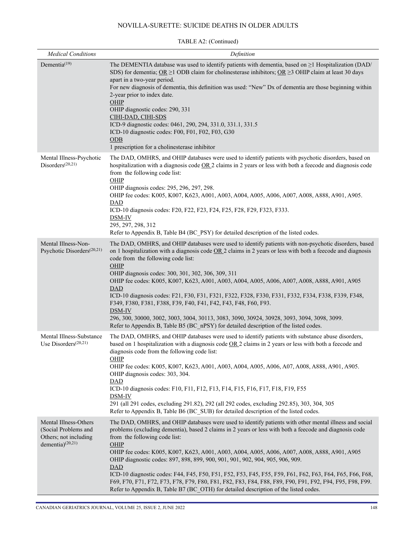| <b>Medical Conditions</b>                                                                     | Definition                                                                                                                                                                                                                                                                                                                                                                                                                                                                                                                                                                                                                                                                                                                                                                                                          |
|-----------------------------------------------------------------------------------------------|---------------------------------------------------------------------------------------------------------------------------------------------------------------------------------------------------------------------------------------------------------------------------------------------------------------------------------------------------------------------------------------------------------------------------------------------------------------------------------------------------------------------------------------------------------------------------------------------------------------------------------------------------------------------------------------------------------------------------------------------------------------------------------------------------------------------|
| Dementia <sup>(19)</sup>                                                                      | The DEMENTIA database was used to identify patients with dementia, based on $\geq$ 1 Hospitalization (DAD/<br>SDS) for dementia; OR $\geq$ 1 ODB claim for cholinesterase inhibitors; OR $\geq$ 3 OHIP claim at least 30 days<br>apart in a two-year period.<br>For new diagnosis of dementia, this definition was used: "New" Dx of dementia are those beginning within<br>2-year prior to index date.<br>OHIP<br>OHIP diagnostic codes: 290, 331<br>CIHI-DAD, CIHI-SDS<br>ICD-9 diagnostic codes: 0461, 290, 294, 331.0, 331.1, 331.5<br>ICD-10 diagnostic codes: F00, F01, F02, F03, G30<br>ODB<br>1 prescription for a cholinesterase inhibitor                                                                                                                                                                 |
| Mental Illness-Psychotic<br>Disorders $(20,21)$                                               | The DAD, OMHRS, and OHIP databases were used to identify patients with psychotic disorders, based on<br>hospitalization with a diagnosis code OR 2 claims in 2 years or less with both a feecode and diagnosis code<br>from the following code list:<br>OHIP<br>OHIP diagnosis codes: 295, 296, 297, 298.<br>OHIP fee codes: K005, K007, K623, A001, A003, A004, A005, A006, A007, A008, A888, A901, A905.<br>$\overline{\text{DAD}}$<br>ICD-10 diagnosis codes: F20, F22, F23, F24, F25, F28, F29, F323, F333.<br>DSM-IV<br>295, 297, 298, 312<br>Refer to Appendix B, Table B4 (BC PSY) for detailed description of the listed codes.                                                                                                                                                                             |
| Mental Illness-Non-<br>Psychotic Disorders <sup>(20,21)</sup>                                 | The DAD, OMHRS, and OHIP databases were used to identify patients with non-psychotic disorders, based<br>on 1 hospitalization with a diagnosis code $OR$ 2 claims in 2 years or less with both a feecode and diagnosis<br>code from the following code list:<br>OHIP<br>OHIP diagnosis codes: 300, 301, 302, 306, 309, 311<br>OHIP fee codes: K005, K007, K623, A001, A003, A004, A005, A006, A007, A008, A888, A901, A905<br><b>DAD</b><br>ICD-10 diagnosis codes: F21, F30, F31, F321, F322, F328, F330, F331, F332, F334, F338, F339, F348,<br>F349, F380, F381, F388, F39, F40, F41, F42, F43, F48, F60, F93.<br>DSM-IV<br>296, 300, 30000, 3002, 3003, 3004, 30113, 3083, 3090, 30924, 30928, 3093, 3094, 3098, 3099.<br>Refer to Appendix B, Table B5 (BC nPSY) for detailed description of the listed codes. |
| Mental Illness-Substance<br>Use Disorders $(20,21)$                                           | The DAD, OMHRS, and OHIP databases were used to identify patients with substance abuse disorders,<br>based on 1 hospitalization with a diagnosis code $OR2$ claims in 2 years or less with both a feecode and<br>diagnosis code from the following code list:<br>OHIP<br>OHIP fee codes: K005, K007, K623, A001, A003, A004, A005, A006, A07, A008, A888, A901, A905.<br>OHIP diagnosis codes: 303, 304.<br><b>DAD</b><br>ICD-10 diagnosis codes: F10, F11, F12, F13, F14, F15, F16, F17, F18, F19, F55<br>DSM-IV<br>291 (all 291 codes, excluding 291.82), 292 (all 292 codes, excluding 292.85), 303, 304, 305<br>Refer to Appendix B, Table B6 (BC SUB) for detailed description of the listed codes.                                                                                                            |
| Mental Illness-Others<br>(Social Problems and<br>Others; not including<br>dementia) $(20,21)$ | The DAD, OMHRS, and OHIP databases were used to identify patients with other mental illness and social<br>problems (excluding dementia), based 2 claims in 2 years or less with both a feecode and diagnosis code<br>from the following code list:<br>OHIP<br>OHIP fee codes: K005, K007, K623, A001, A003, A004, A005, A006, A007, A008, A888, A901, A905<br>OHIP diagnostic codes: 897, 898, 899, 900, 901, 901, 902, 904, 905, 906, 909.<br>DAD<br>ICD-10 diagnostic codes: F44, F45, F50, F51, F52, F53, F45, F55, F59, F61, F62, F63, F64, F65, F66, F68,<br>F69, F70, F71, F72, F73, F78, F79, F80, F81, F82, F83, F84, F88, F89, F90, F91, F92, F94, F95, F98, F99.<br>Refer to Appendix B, Table B7 (BC OTH) for detailed description of the listed codes.                                                  |

### TABLE A2: (Continued)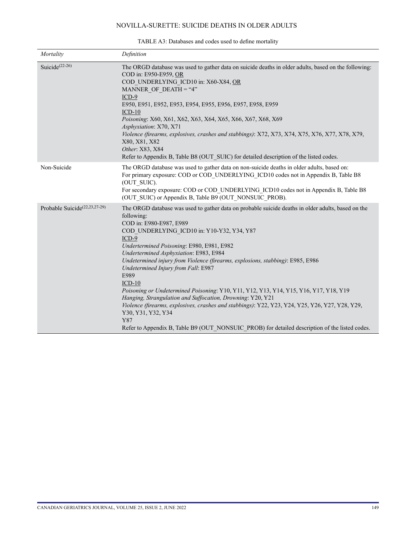| Mortality                                 | Definition                                                                                                                                                                                                                                                                                                                                                                                                                                                                                                                                                                                                                                                                                                                                                                                                                        |
|-------------------------------------------|-----------------------------------------------------------------------------------------------------------------------------------------------------------------------------------------------------------------------------------------------------------------------------------------------------------------------------------------------------------------------------------------------------------------------------------------------------------------------------------------------------------------------------------------------------------------------------------------------------------------------------------------------------------------------------------------------------------------------------------------------------------------------------------------------------------------------------------|
| Suicide <sup><math>(22-26)</math></sup>   | The ORGD database was used to gather data on suicide deaths in older adults, based on the following:<br>COD in: E950-E959, OR<br>COD UNDERLYING ICD10 in: X60-X84, OR<br>MANNER OF DEATH = "4"<br>$ICD-9$<br>E950, E951, E952, E953, E954, E955, E956, E957, E958, E959<br>$ICD-10$<br>Poisoning: X60, X61, X62, X63, X64, X65, X66, X67, X68, X69<br>Asphyxiation: X70, X71<br>Violence (firearms, explosives, crashes and stabbings): X72, X73, X74, X75, X76, X77, X78, X79,<br>X80, X81, X82<br>Other: X83, X84<br>Refer to Appendix B, Table B8 (OUT_SUIC) for detailed description of the listed codes.                                                                                                                                                                                                                     |
| Non-Suicide                               | The ORGD database was used to gather data on non-suicide deaths in older adults, based on:<br>For primary exposure: COD or COD UNDERLYING ICD10 codes not in Appendix B, Table B8<br>(OUT SUIC).<br>For secondary exposure: COD or COD UNDERLYING ICD10 codes not in Appendix B, Table B8<br>(OUT SUIC) or Appendix B, Table B9 (OUT NONSUIC PROB).                                                                                                                                                                                                                                                                                                                                                                                                                                                                               |
| Probable Suicide <sup>(22,23,27-29)</sup> | The ORGD database was used to gather data on probable suicide deaths in older adults, based on the<br>following:<br>COD in: E980-E987, E989<br>COD UNDERLYING ICD10 in: Y10-Y32, Y34, Y87<br>$ICD-9$<br>Undertermined Poisoning: E980, E981, E982<br>Undertermined Asphyxiation: E983, E984<br>Undetermined injury from Violence (firearms, explosions, stabbing): E985, E986<br>Undetermined Injury from Fall: E987<br>E989<br>$ICD-10$<br>Poisoning or Undetermined Poisoning: Y10, Y11, Y12, Y13, Y14, Y15, Y16, Y17, Y18, Y19<br>Hanging, Strangulation and Suffocation, Drowning: Y20, Y21<br>Violence (firearms, explosives, crashes and stabbings): Y22, Y23, Y24, Y25, Y26, Y27, Y28, Y29,<br>Y30, Y31, Y32, Y34<br>Y87<br>Refer to Appendix B, Table B9 (OUT NONSUIC PROB) for detailed description of the listed codes. |

### TABLE A3: Databases and codes used to define mortality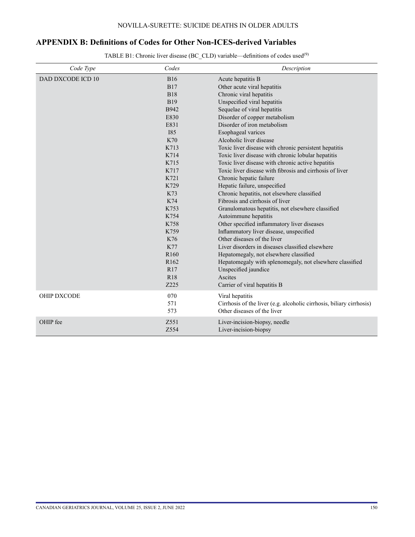# **APPENDIX B: Definitions of Codes for Other Non-ICES-derived Variables**

TABLE B1: Chronic liver disease (BC\_CLD) variable—definitions of codes used<sup>(9)</sup>

| Code Type          | Codes            | Description                                                          |
|--------------------|------------------|----------------------------------------------------------------------|
| DAD DXCODE ICD 10  | <b>B16</b>       | Acute hepatitis B                                                    |
|                    | <b>B17</b>       | Other acute viral hepatitis                                          |
|                    | <b>B18</b>       | Chronic viral hepatitis                                              |
|                    | <b>B19</b>       | Unspecified viral hepatitis                                          |
|                    | B942             | Sequelae of viral hepatitis                                          |
|                    | E830             | Disorder of copper metabolism                                        |
|                    | E831             | Disorder of iron metabolism                                          |
|                    | <b>I85</b>       | Esophageal varices                                                   |
|                    | K70              | Alcoholic liver disease                                              |
|                    | K713             | Toxic liver disease with chronic persistent hepatitis                |
|                    | K714             | Toxic liver disease with chronic lobular hepatitis                   |
|                    | K715             | Toxic liver disease with chronic active hepatitis                    |
|                    | K717             | Toxic liver disease with fibrosis and cirrhosis of liver             |
|                    | K721             | Chronic hepatic failure                                              |
|                    | K729             | Hepatic failure, unspecified                                         |
|                    | K73              | Chronic hepatitis, not elsewhere classified                          |
|                    | K74              | Fibrosis and cirrhosis of liver                                      |
|                    | K753             | Granulomatous hepatitis, not elsewhere classified                    |
|                    | K754             | Autoimmune hepatitis                                                 |
|                    | K758             | Other specified inflammatory liver diseases                          |
|                    | K759             | Inflammatory liver disease, unspecified                              |
|                    | K76              | Other diseases of the liver                                          |
|                    | K77              | Liver disorders in diseases classified elsewhere                     |
|                    | R <sub>160</sub> | Hepatomegaly, not elsewhere classified                               |
|                    | R <sub>162</sub> | Hepatomegaly with splenomegaly, not elsewhere classified             |
|                    | R17              | Unspecified jaundice                                                 |
|                    | R <sub>18</sub>  | Ascites                                                              |
|                    | Z225             | Carrier of viral hepatitis B                                         |
| <b>OHIP DXCODE</b> | 070              | Viral hepatitis                                                      |
|                    | 571              | Cirrhosis of the liver (e.g. alcoholic cirrhosis, biliary cirrhosis) |
|                    | 573              | Other diseases of the liver                                          |
| OHIP fee           | Z551             | Liver-incision-biopsy, needle                                        |
|                    | Z554             | Liver-incision-biopsy                                                |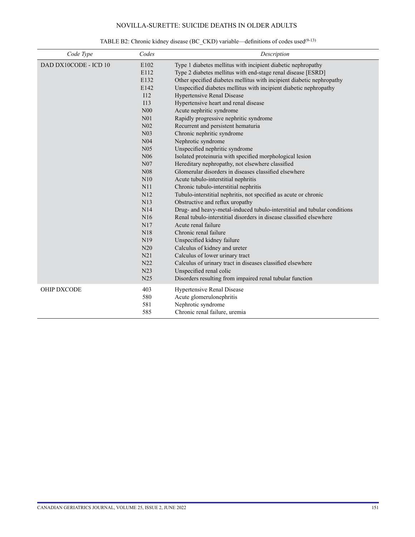| Code Type             | Codes                                                                                                                                                                                                                                                                                         | Description                                                                                                                                                                                                                                                                                                                                                                                                                                                                                                                                                                                                                                                                                                                                                                                                                                                                                                                                                                                                                                                                                                                                                                                                                                                                                  |
|-----------------------|-----------------------------------------------------------------------------------------------------------------------------------------------------------------------------------------------------------------------------------------------------------------------------------------------|----------------------------------------------------------------------------------------------------------------------------------------------------------------------------------------------------------------------------------------------------------------------------------------------------------------------------------------------------------------------------------------------------------------------------------------------------------------------------------------------------------------------------------------------------------------------------------------------------------------------------------------------------------------------------------------------------------------------------------------------------------------------------------------------------------------------------------------------------------------------------------------------------------------------------------------------------------------------------------------------------------------------------------------------------------------------------------------------------------------------------------------------------------------------------------------------------------------------------------------------------------------------------------------------|
| DAD DX10CODE - ICD 10 | E102<br>E112<br>E132<br>E142<br>I12<br>I13<br>N <sub>00</sub><br>N <sub>01</sub><br>N <sub>02</sub><br>N <sub>03</sub><br>N <sub>04</sub><br>N <sub>05</sub><br>N <sub>06</sub><br>N07<br>N08<br>N10<br>N11<br>N12<br>N13<br>N14<br>N16<br>N17<br>N18<br>N <sub>19</sub><br>N20<br>N21<br>N22 | Type 1 diabetes mellitus with incipient diabetic nephropathy<br>Type 2 diabetes mellitus with end-stage renal disease [ESRD]<br>Other specified diabetes mellitus with incipient diabetic nephropathy<br>Unspecified diabetes mellitus with incipient diabetic nephropathy<br><b>Hypertensive Renal Disease</b><br>Hypertensive heart and renal disease<br>Acute nephritic syndrome<br>Rapidly progressive nephritic syndrome<br>Recurrent and persistent hematuria<br>Chronic nephritic syndrome<br>Nephrotic syndrome<br>Unspecified nephritic syndrome<br>Isolated proteinuria with specified morphological lesion<br>Hereditary nephropathy, not elsewhere classified<br>Glomerular disorders in diseases classified elsewhere<br>Acute tubulo-interstitial nephritis<br>Chronic tubulo-interstitial nephritis<br>Tubulo-interstitial nephritis, not specified as acute or chronic<br>Obstructive and reflux uropathy<br>Drug- and heavy-metal-induced tubulo-interstitial and tubular conditions<br>Renal tubulo-interstitial disorders in disease classified elsewhere<br>Acute renal failure<br>Chronic renal failure<br>Unspecified kidney failure<br>Calculus of kidney and ureter<br>Calculus of lower urinary tract<br>Calculus of urinary tract in diseases classified elsewhere |
|                       | N23<br>N25                                                                                                                                                                                                                                                                                    | Unspecified renal colic<br>Disorders resulting from impaired renal tubular function                                                                                                                                                                                                                                                                                                                                                                                                                                                                                                                                                                                                                                                                                                                                                                                                                                                                                                                                                                                                                                                                                                                                                                                                          |
| <b>OHIP DXCODE</b>    | 403<br>580<br>581<br>585                                                                                                                                                                                                                                                                      | Hypertensive Renal Disease<br>Acute glomerulonephritis<br>Nephrotic syndrome<br>Chronic renal failure, uremia                                                                                                                                                                                                                                                                                                                                                                                                                                                                                                                                                                                                                                                                                                                                                                                                                                                                                                                                                                                                                                                                                                                                                                                |

# TABLE B2: Chronic kidney disease (BC\_CKD) variable—definitions of codes used<sup>(9-13)</sup>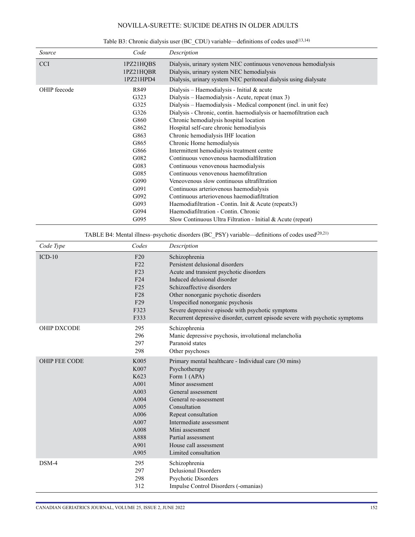| Source       | Code                                                                                                                                         | Description                                                                                                                                                                                                                                                                                                                                                                                                                                                                                                                                                                                                                                                                                                                                                                                                                                                                            |
|--------------|----------------------------------------------------------------------------------------------------------------------------------------------|----------------------------------------------------------------------------------------------------------------------------------------------------------------------------------------------------------------------------------------------------------------------------------------------------------------------------------------------------------------------------------------------------------------------------------------------------------------------------------------------------------------------------------------------------------------------------------------------------------------------------------------------------------------------------------------------------------------------------------------------------------------------------------------------------------------------------------------------------------------------------------------|
| <b>CCI</b>   | 1PZ21HQBS<br>1PZ21HQBR<br>1PZ21HPD4                                                                                                          | Dialysis, urinary system NEC continuous venovenous hemodialysis<br>Dialysis, urinary system NEC hemodialysis<br>Dialysis, urinary system NEC peritoneal dialysis using dialysate                                                                                                                                                                                                                                                                                                                                                                                                                                                                                                                                                                                                                                                                                                       |
| OHIP feecode | R849<br>G323<br>G325<br>G326<br>G860<br>G862<br>G863<br>G865<br>G866<br>G082<br>G083<br>G085<br>G090<br>G091<br>G092<br>G093<br>G094<br>G095 | Dialysis – Haemodialysis - Initial $\&$ acute<br>Dialysis – Haemodialysis - Acute, repeat (max 3)<br>Dialysis - Haemodialysis - Medical component (incl. in unit fee)<br>Dialysis - Chronic, contin. haemodialysis or haemofiltration each<br>Chronic hemodialysis hospital location<br>Hospital self-care chronic hemodialysis<br>Chronic hemodialysis IHF location<br>Chronic Home hemodialysis<br>Intermittent hemodialysis treatment centre<br>Continuous venovenous haemodialfiltration<br>Continuous venovenous haemodialysis<br>Continuous venovenous haemofiltration<br>Veneovenous slow continuous ultrafiltration<br>Continuous arteriovenous haemodialysis<br>Continuous arteriovenous haemodiafiltration<br>Haemodiafiltration - Contin. Init & Acute (repeatx3)<br>Haemodiafiltration - Contin, Chronic<br>Slow Continuous Ultra Filtration - Initial $\&$ Acute (repeat) |

Table B3: Chronic dialysis user (BC\_CDU) variable—definitions of codes used<sup>(13,14)</sup>

TABLE B4: Mental illness–psychotic disorders (BC\_PSY) variable—definitions of codes used(20,21)

| Code Type            | Codes                                                                                                            | Description                                                                                                                                                                                                                                                                                                                                                               |
|----------------------|------------------------------------------------------------------------------------------------------------------|---------------------------------------------------------------------------------------------------------------------------------------------------------------------------------------------------------------------------------------------------------------------------------------------------------------------------------------------------------------------------|
| $ICD-10$             | F20<br>F22<br>F23<br>F24<br>F25<br>F <sub>28</sub><br>F <sub>29</sub><br>F323<br>F333                            | Schizophrenia<br>Persistent delusional disorders<br>Acute and transient psychotic disorders<br>Induced delusional disorder<br>Schizoaffective disorders<br>Other nonorganic psychotic disorders<br>Unspecified nonorganic psychosis<br>Severe depressive episode with psychotic symptoms<br>Recurrent depressive disorder, current episode severe with psychotic symptoms |
| <b>OHIP DXCODE</b>   | 295<br>296<br>297<br>298                                                                                         | Schizophrenia<br>Manic depressive psychosis, involutional melancholia<br>Paranoid states<br>Other psychoses                                                                                                                                                                                                                                                               |
| <b>OHIP FEE CODE</b> | K005<br>K007<br>K623<br>A001<br>A003<br>A <sub>004</sub><br>A005<br>A006<br>A007<br>A008<br>A888<br>A901<br>A905 | Primary mental healthcare - Individual care (30 mins)<br>Psychotherapy<br>Form 1 (APA)<br>Minor assessment<br>General assessment<br>General re-assessment<br>Consultation<br>Repeat consultation<br>Intermediate assessment<br>Mini assessment<br>Partial assessment<br>House call assessment<br>Limited consultation                                                     |
| $DSM-4$              | 295<br>297<br>298<br>312                                                                                         | Schizophrenia<br><b>Delusional Disorders</b><br>Psychotic Disorders<br>Impulse Control Disorders (-omanias)                                                                                                                                                                                                                                                               |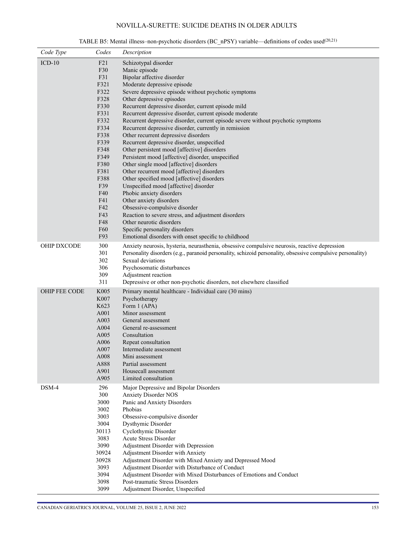| Code Type          | Codes        | Description                                                                                                                     |
|--------------------|--------------|---------------------------------------------------------------------------------------------------------------------------------|
| $ICD-10$           | F21          | Schizotypal disorder                                                                                                            |
|                    | F30          | Manic episode                                                                                                                   |
|                    | F31          | Bipolar affective disorder                                                                                                      |
|                    | F321         | Moderate depressive episode                                                                                                     |
|                    | F322<br>F328 | Severe depressive episode without psychotic symptoms<br>Other depressive episodes                                               |
|                    | F330         | Recurrent depressive disorder, current episode mild                                                                             |
|                    | F331         | Recurrent depressive disorder, current episode moderate                                                                         |
|                    | F332         | Recurrent depressive disorder, current episode severe without psychotic symptoms                                                |
|                    | F334         | Recurrent depressive disorder, currently in remission                                                                           |
|                    | F338         | Other recurrent depressive disorders                                                                                            |
|                    | F339         | Recurrent depressive disorder, unspecified                                                                                      |
|                    | F348         | Other persistent mood [affective] disorders                                                                                     |
|                    | F349         | Persistent mood [affective] disorder, unspecified                                                                               |
|                    | F380<br>F381 | Other single mood [affective] disorders<br>Other recurrent mood [affective] disorders                                           |
|                    | F388         | Other specified mood [affective] disorders                                                                                      |
|                    | F39          | Unspecified mood [affective] disorder                                                                                           |
|                    | F40          | Phobic anxiety disorders                                                                                                        |
|                    | F41          | Other anxiety disorders                                                                                                         |
|                    | F42          | Obsessive-compulsive disorder                                                                                                   |
|                    | F43          | Reaction to severe stress, and adjustment disorders                                                                             |
|                    | F48          | Other neurotic disorders                                                                                                        |
|                    | F60          | Specific personality disorders                                                                                                  |
|                    | F93          | Emotional disorders with onset specific to childhood                                                                            |
| <b>OHIP DXCODE</b> | 300          | Anxiety neurosis, hysteria, neurasthenia, obsessive compulsive neurosis, reactive depression                                    |
|                    | 301          | Personality disorders (e.g., paranoid personality, schizoid personality, obsessive compulsive personality)<br>Sexual deviations |
|                    | 302<br>306   | Psychosomatic disturbances                                                                                                      |
|                    | 309          | Adjustment reaction                                                                                                             |
|                    | 311          | Depressive or other non-psychotic disorders, not elsewhere classified                                                           |
| OHIP FEE CODE      | K005         | Primary mental healthcare - Individual care (30 mins)                                                                           |
|                    | K007         | Psychotherapy                                                                                                                   |
|                    | K623         | Form 1 (APA)                                                                                                                    |
|                    | A001         | Minor assessment                                                                                                                |
|                    | A003         | General assessment                                                                                                              |
|                    | A004         | General re-assessment                                                                                                           |
|                    | A005         | Consultation                                                                                                                    |
|                    | A006<br>A007 | Repeat consultation<br>Intermediate assessment                                                                                  |
|                    | A008         | Mini assessment                                                                                                                 |
|                    | A888         | Partial assessment                                                                                                              |
|                    | A901         | Housecall assessment                                                                                                            |
|                    | A905         | Limited consultation                                                                                                            |
| DSM-4              | 296          | Major Depressive and Bipolar Disorders                                                                                          |
|                    | 300          | <b>Anxiety Disorder NOS</b>                                                                                                     |
|                    | 3000         | Panic and Anxiety Disorders                                                                                                     |
|                    | 3002         | Phobias                                                                                                                         |
|                    | 3003<br>3004 | Obsessive-compulsive disorder<br>Dysthymic Disorder                                                                             |
|                    | 30113        | Cyclothymic Disorder                                                                                                            |
|                    | 3083         | Acute Stress Disorder                                                                                                           |
|                    | 3090         | Adjustment Disorder with Depression                                                                                             |
|                    | 30924        | Adjustment Disorder with Anxiety                                                                                                |
|                    | 30928        | Adjustment Disorder with Mixed Anxiety and Depressed Mood                                                                       |
|                    | 3093         | Adjustment Disorder with Disturbance of Conduct                                                                                 |
|                    | 3094         | Adjustment Disorder with Mixed Disturbances of Emotions and Conduct                                                             |
|                    | 3098         | Post-traumatic Stress Disorders                                                                                                 |
|                    | 3099         | Adjustment Disorder, Unspecified                                                                                                |

TABLE B5: Mental illness–non-psychotic disorders (BC\_nPSY) variable—definitions of codes used(20,21)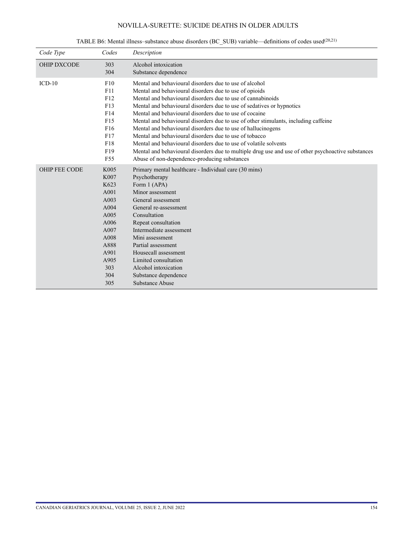| Code Type            | Codes                                                                                                                     | Description                                                                                                                                                                                                                                                                                                                                                                                                                                                                                                                                                                                                                                                                                                                                                   |
|----------------------|---------------------------------------------------------------------------------------------------------------------------|---------------------------------------------------------------------------------------------------------------------------------------------------------------------------------------------------------------------------------------------------------------------------------------------------------------------------------------------------------------------------------------------------------------------------------------------------------------------------------------------------------------------------------------------------------------------------------------------------------------------------------------------------------------------------------------------------------------------------------------------------------------|
| <b>OHIP DXCODE</b>   | 303<br>304                                                                                                                | Alcohol intoxication<br>Substance dependence                                                                                                                                                                                                                                                                                                                                                                                                                                                                                                                                                                                                                                                                                                                  |
| $ICD-10$             | F10<br>F11<br>F12<br>F13<br>F14<br>F15<br>F <sub>16</sub><br>F17<br>F18<br>F19<br>F <sub>55</sub>                         | Mental and behavioural disorders due to use of alcohol<br>Mental and behavioural disorders due to use of opioids<br>Mental and behavioural disorders due to use of cannabinoids<br>Mental and behavioural disorders due to use of sedatives or hypnotics<br>Mental and behavioural disorders due to use of cocaine<br>Mental and behavioural disorders due to use of other stimulants, including caffeine<br>Mental and behavioural disorders due to use of hallucinogens<br>Mental and behavioural disorders due to use of tobacco<br>Mental and behavioural disorders due to use of volatile solvents<br>Mental and behavioural disorders due to multiple drug use and use of other psychoactive substances<br>Abuse of non-dependence-producing substances |
| <b>OHIP FEE CODE</b> | K005<br>K007<br>K623<br>A001<br>A003<br>A004<br>A005<br>A006<br>A007<br>A008<br>A888<br>A901<br>A905<br>303<br>304<br>305 | Primary mental healthcare - Individual care (30 mins)<br>Psychotherapy<br>Form 1 (APA)<br>Minor assessment<br>General assessment<br>General re-assessment<br>Consultation<br>Repeat consultation<br>Intermediate assessment<br>Mini assessment<br>Partial assessment<br>Housecall assessment<br>Limited consultation<br>Alcohol intoxication<br>Substance dependence<br><b>Substance Abuse</b>                                                                                                                                                                                                                                                                                                                                                                |

TABLE B6: Mental illness–substance abuse disorders (BC\_SUB) variable—definitions of codes used(20,21)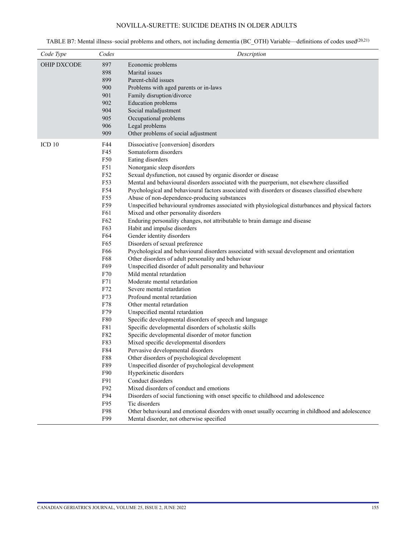TABLE B7: Mental illness–social problems and others, not including dementia (BC\_OTH) Variable—definitions of codes used(20,21)

| Code Type<br>Codes                                                                                                                                                                                                                                                            | Description                                                                                                                                                                                                                                                                                                                                                                                                                                                                                                                                                                                                                                                                                                                                                                                                                                                                                                                                                                                                                                                                                                                                                                                                                                                                                                                                                                                                                                                                                                                                                                                                                                                                                                                                                                                                                     |
|-------------------------------------------------------------------------------------------------------------------------------------------------------------------------------------------------------------------------------------------------------------------------------|---------------------------------------------------------------------------------------------------------------------------------------------------------------------------------------------------------------------------------------------------------------------------------------------------------------------------------------------------------------------------------------------------------------------------------------------------------------------------------------------------------------------------------------------------------------------------------------------------------------------------------------------------------------------------------------------------------------------------------------------------------------------------------------------------------------------------------------------------------------------------------------------------------------------------------------------------------------------------------------------------------------------------------------------------------------------------------------------------------------------------------------------------------------------------------------------------------------------------------------------------------------------------------------------------------------------------------------------------------------------------------------------------------------------------------------------------------------------------------------------------------------------------------------------------------------------------------------------------------------------------------------------------------------------------------------------------------------------------------------------------------------------------------------------------------------------------------|
| OHIP DXCODE<br>897<br>898<br>899<br>900<br>901<br>902<br>904<br>905<br>906<br>909                                                                                                                                                                                             | Economic problems<br>Marital issues<br>Parent-child issues<br>Problems with aged parents or in-laws<br>Family disruption/divorce<br><b>Education</b> problems<br>Social maladjustment<br>Occupational problems<br>Legal problems<br>Other problems of social adjustment                                                                                                                                                                                                                                                                                                                                                                                                                                                                                                                                                                                                                                                                                                                                                                                                                                                                                                                                                                                                                                                                                                                                                                                                                                                                                                                                                                                                                                                                                                                                                         |
| ICD <sub>10</sub><br>F44<br>F45<br>F50<br>F51<br>F52<br>F53<br>F54<br>F55<br>F59<br>F61<br>F62<br>F63<br>F64<br>F65<br>F66<br>F68<br>F69<br>F70<br>F71<br>F72<br>F73<br>F78<br>F79<br>F80<br>F81<br>F82<br>F83<br>F84<br>F88<br>F89<br>F90<br>F91<br>F92<br>F94<br>F95<br>F98 | Dissociative [conversion] disorders<br>Somatoform disorders<br>Eating disorders<br>Nonorganic sleep disorders<br>Sexual dysfunction, not caused by organic disorder or disease<br>Mental and behavioural disorders associated with the puerperium, not elsewhere classified<br>Psychological and behavioural factors associated with disorders or diseases classified elsewhere<br>Abuse of non-dependence-producing substances<br>Unspecified behavioural syndromes associated with physiological disturbances and physical factors<br>Mixed and other personality disorders<br>Enduring personality changes, not attributable to brain damage and disease<br>Habit and impulse disorders<br>Gender identity disorders<br>Disorders of sexual preference<br>Psychological and behavioural disorders associated with sexual development and orientation<br>Other disorders of adult personality and behaviour<br>Unspecified disorder of adult personality and behaviour<br>Mild mental retardation<br>Moderate mental retardation<br>Severe mental retardation<br>Profound mental retardation<br>Other mental retardation<br>Unspecified mental retardation<br>Specific developmental disorders of speech and language<br>Specific developmental disorders of scholastic skills<br>Specific developmental disorder of motor function<br>Mixed specific developmental disorders<br>Pervasive developmental disorders<br>Other disorders of psychological development<br>Unspecified disorder of psychological development<br>Hyperkinetic disorders<br>Conduct disorders<br>Mixed disorders of conduct and emotions<br>Disorders of social functioning with onset specific to childhood and adolescence<br>Tic disorders<br>Other behavioural and emotional disorders with onset usually occurring in childhood and adolescence |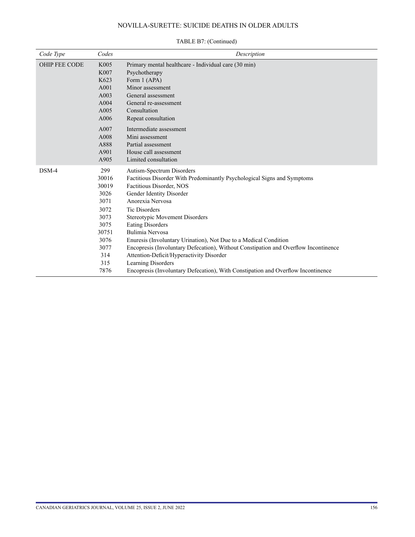| Code Type            | Codes | Description                                                                         |
|----------------------|-------|-------------------------------------------------------------------------------------|
| <b>OHIP FEE CODE</b> | K005  | Primary mental healthcare - Individual care (30 min)                                |
|                      | K007  | Psychotherapy                                                                       |
|                      | K623  | Form 1 (APA)                                                                        |
|                      | A001  | Minor assessment                                                                    |
|                      | A003  | General assessment                                                                  |
|                      | A004  | General re-assessment                                                               |
|                      | A005  | Consultation                                                                        |
|                      | A006  | Repeat consultation                                                                 |
|                      | A007  | Intermediate assessment                                                             |
|                      | A008  | Mini assessment                                                                     |
|                      | A888  | Partial assessment                                                                  |
|                      | A901  | House call assessment                                                               |
|                      | A905  | Limited consultation                                                                |
| DSM-4                | 299   | Autism-Spectrum Disorders                                                           |
|                      | 30016 | Factitious Disorder With Predominantly Psychological Signs and Symptoms             |
|                      | 30019 | Factitious Disorder, NOS                                                            |
|                      | 3026  | Gender Identity Disorder                                                            |
|                      | 3071  | Anorexia Nervosa                                                                    |
|                      | 3072  | <b>Tic Disorders</b>                                                                |
|                      | 3073  | Stereotypic Movement Disorders                                                      |
|                      | 3075  | <b>Eating Disorders</b>                                                             |
|                      | 30751 | Bulimia Nervosa                                                                     |
|                      | 3076  | Enuresis (Involuntary Urination), Not Due to a Medical Condition                    |
|                      | 3077  | Encopresis (Involuntary Defecation), Without Constipation and Overflow Incontinence |
|                      | 314   | Attention-Deficit/Hyperactivity Disorder                                            |
|                      | 315   | Learning Disorders                                                                  |
|                      | 7876  | Encopresis (Involuntary Defecation), With Constipation and Overflow Incontinence    |

### TABLE B7: (Continued)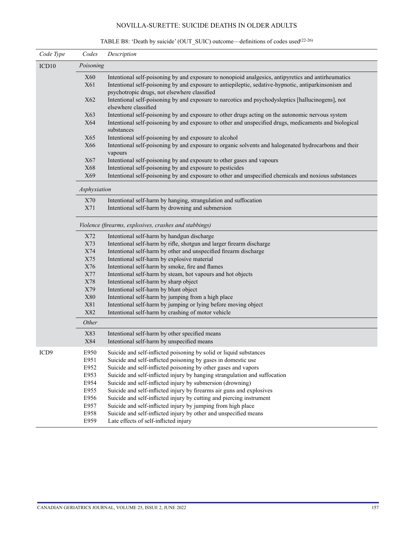| Code Type        | Codes                                                  | Description                                                                                                                                          |  |  |
|------------------|--------------------------------------------------------|------------------------------------------------------------------------------------------------------------------------------------------------------|--|--|
| ICD10            | Poisoning                                              |                                                                                                                                                      |  |  |
|                  | <b>X60</b>                                             | Intentional self-poisoning by and exposure to nonopioid analgesics, antipyretics and antirheumatics                                                  |  |  |
|                  | X61                                                    | Intentional self-poisoning by and exposure to antiepileptic, sedative-hypnotic, antiparkinsonism and<br>psychotropic drugs, not elsewhere classified |  |  |
|                  | X62                                                    | Intentional self-poisoning by and exposure to narcotics and psychodysleptics [hallucinogens], not<br>elsewhere classified                            |  |  |
|                  | X63                                                    | Intentional self-poisoning by and exposure to other drugs acting on the autonomic nervous system                                                     |  |  |
|                  | X64                                                    | Intentional self-poisoning by and exposure to other and unspecified drugs, medicaments and biological<br>substances                                  |  |  |
|                  | X65                                                    | Intentional self-poisoning by and exposure to alcohol                                                                                                |  |  |
|                  | X66                                                    | Intentional self-poisoning by and exposure to organic solvents and halogenated hydrocarbons and their<br>vapours                                     |  |  |
|                  | X67                                                    | Intentional self-poisoning by and exposure to other gases and vapours                                                                                |  |  |
|                  | X68                                                    | Intentional self-poisoning by and exposure to pesticides                                                                                             |  |  |
|                  | X69                                                    | Intentional self-poisoning by and exposure to other and unspecified chemicals and noxious substances                                                 |  |  |
|                  | Asphyxiation                                           |                                                                                                                                                      |  |  |
|                  | X70                                                    | Intentional self-harm by hanging, strangulation and suffocation                                                                                      |  |  |
|                  | X71                                                    | Intentional self-harm by drowning and submersion                                                                                                     |  |  |
|                  | Violence (firearms, explosives, crashes and stabbings) |                                                                                                                                                      |  |  |
|                  | X72                                                    | Intentional self-harm by handgun discharge                                                                                                           |  |  |
|                  | X73                                                    | Intentional self-harm by rifle, shotgun and larger firearm discharge                                                                                 |  |  |
|                  | X74                                                    | Intentional self-harm by other and unspecified firearm discharge                                                                                     |  |  |
|                  | X75                                                    | Intentional self-harm by explosive material                                                                                                          |  |  |
|                  | X76                                                    | Intentional self-harm by smoke, fire and flames                                                                                                      |  |  |
|                  | X77                                                    | Intentional self-harm by steam, hot vapours and hot objects                                                                                          |  |  |
|                  | X78                                                    | Intentional self-harm by sharp object                                                                                                                |  |  |
|                  | X79                                                    | Intentional self-harm by blunt object                                                                                                                |  |  |
|                  | <b>X80</b>                                             | Intentional self-harm by jumping from a high place                                                                                                   |  |  |
|                  | X81                                                    | Intentional self-harm by jumping or lying before moving object                                                                                       |  |  |
|                  | X82                                                    | Intentional self-harm by crashing of motor vehicle                                                                                                   |  |  |
| Other            |                                                        |                                                                                                                                                      |  |  |
|                  | X83<br>X84                                             | Intentional self-harm by other specified means<br>Intentional self-harm by unspecified means                                                         |  |  |
| ICD <sub>9</sub> | E950<br>E951                                           | Suicide and self-inflicted poisoning by solid or liquid substances<br>Suicide and self-inflicted poisoning by gases in domestic use                  |  |  |
|                  | E952                                                   | Suicide and self-inflicted poisoning by other gases and vapors                                                                                       |  |  |
|                  | E953                                                   | Suicide and self-inflicted injury by hanging strangulation and suffocation                                                                           |  |  |
|                  | E954                                                   | Suicide and self-inflicted injury by submersion (drowning)                                                                                           |  |  |
|                  | E955                                                   | Suicide and self-inflicted injury by firearms air guns and explosives                                                                                |  |  |
|                  | E956                                                   | Suicide and self-inflicted injury by cutting and piercing instrument                                                                                 |  |  |
|                  | E957                                                   | Suicide and self-inflicted injury by jumping from high place                                                                                         |  |  |
|                  | E958                                                   | Suicide and self-inflicted injury by other and unspecified means                                                                                     |  |  |
|                  | E959                                                   | Late effects of self-inflicted injury                                                                                                                |  |  |
|                  |                                                        |                                                                                                                                                      |  |  |

# TABLE B8: 'Death by suicide' (OUT\_SUIC) outcome—definitions of codes used(22-26)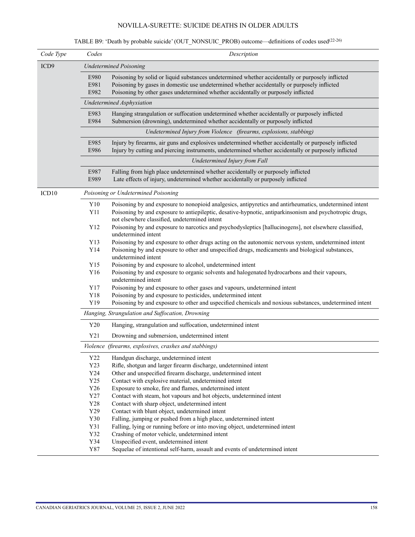# TABLE B9: 'Death by probable suicide' (OUT\_NONSUIC\_PROB) outcome—definitions of codes used(22-26)

| Code Type | Codes                         | Description                                                                                                                                                                                                                                                                          |  |  |  |  |
|-----------|-------------------------------|--------------------------------------------------------------------------------------------------------------------------------------------------------------------------------------------------------------------------------------------------------------------------------------|--|--|--|--|
| ICD9      | <b>Undetermined Poisoning</b> |                                                                                                                                                                                                                                                                                      |  |  |  |  |
|           | E980<br>E981<br>E982          | Poisoning by solid or liquid substances undetermined whether accidentally or purposely inflicted<br>Poisoning by gases in domestic use undetermined whether accidentally or purposely inflicted<br>Poisoning by other gases undetermined whether accidentally or purposely inflicted |  |  |  |  |
|           |                               | Undetermined Asphyxiation                                                                                                                                                                                                                                                            |  |  |  |  |
|           | E983<br>E984                  | Hanging strangulation or suffocation undetermined whether accidentally or purposely inflicted<br>Submersion (drowning), undetermined whether accidentally or purposely inflicted                                                                                                     |  |  |  |  |
|           |                               | Undetermined Injury from Violence (firearms, explosions, stabbing)                                                                                                                                                                                                                   |  |  |  |  |
|           | E985<br>E986                  | Injury by firearms, air guns and explosives undetermined whether accidentally or purposely inflicted<br>Injury by cutting and piercing instruments, undetermined whether accidentally or purposely inflicted                                                                         |  |  |  |  |
|           |                               | Undetermined Injury from Fall                                                                                                                                                                                                                                                        |  |  |  |  |
|           | E987<br>E989                  | Falling from high place undetermined whether accidentally or purposely inflicted<br>Late effects of injury, undetermined whether accidentally or purposely inflicted                                                                                                                 |  |  |  |  |
| ICD10     |                               | Poisoning or Undetermined Poisoning                                                                                                                                                                                                                                                  |  |  |  |  |
|           | Y10<br>Y11                    | Poisoning by and exposure to nonopioid analgesics, antipyretics and antirheumatics, undetermined intent<br>Poisoning by and exposure to antiepileptic, desative-hypnotic, antiparkinsonism and psychotropic drugs,                                                                   |  |  |  |  |
|           | Y12                           | not elsewhere classified, undetermined intent<br>Poisoning by and exposure to narcotics and psychodysleptics [hallucinogens], not elsewhere classified,<br>undetermined intent                                                                                                       |  |  |  |  |
|           | Y13                           | Poisoning by and exposure to other drugs acting on the autonomic nervous system, undetermined intent                                                                                                                                                                                 |  |  |  |  |
|           | Y14                           | Poisoning by and exposure to other and unspecified drugs, medicaments and biological substances,<br>undetermined intent                                                                                                                                                              |  |  |  |  |
|           | Y15                           | Poisoning by and exposure to alcohol, undetermined intent                                                                                                                                                                                                                            |  |  |  |  |
|           | Y16                           | Poisoning by and exposure to organic solvents and halogenated hydrocarbons and their vapours,<br>undetermined intent                                                                                                                                                                 |  |  |  |  |
|           | Y17                           | Poisoning by and exposure to other gases and vapours, undetermined intent                                                                                                                                                                                                            |  |  |  |  |
|           | Y18<br>Y19                    | Poisoning by and exposure to pesticides, undetermined intent<br>Poisoning by and exposure to other and uspecified chemicals and noxious substances, undetermined intent                                                                                                              |  |  |  |  |
|           |                               | Hanging, Strangulation and Suffocation, Drowning                                                                                                                                                                                                                                     |  |  |  |  |
|           |                               |                                                                                                                                                                                                                                                                                      |  |  |  |  |
|           | Y20                           | Hanging, strangulation and suffocation, undetermined intent                                                                                                                                                                                                                          |  |  |  |  |
|           | Y21                           | Drowning and submersion, undetermined intent                                                                                                                                                                                                                                         |  |  |  |  |
|           |                               | Violence (firearms, explosives, crashes and stabbings)                                                                                                                                                                                                                               |  |  |  |  |
|           | Y22                           | Handgun discharge, undetermined intent                                                                                                                                                                                                                                               |  |  |  |  |
|           | Y23                           | Rifle, shotgun and larger firearm discharge, undetermined intent                                                                                                                                                                                                                     |  |  |  |  |
|           | Y24<br>Y25                    | Other and unspecified firearm discharge, undetermined intent                                                                                                                                                                                                                         |  |  |  |  |
|           | Y26                           | Contact with explosive material, undetermined intent<br>Exposure to smoke, fire and flames, undetermined intent                                                                                                                                                                      |  |  |  |  |
|           | Y27                           | Contact with steam, hot vapours and hot objects, undetermined intent                                                                                                                                                                                                                 |  |  |  |  |
|           | Y28                           | Contact with sharp object, undetermined intent                                                                                                                                                                                                                                       |  |  |  |  |
|           | Y29                           | Contact with blunt object, undetermined intent                                                                                                                                                                                                                                       |  |  |  |  |
|           | Y30                           | Falling, jumping or pushed from a high place, undetermined intent                                                                                                                                                                                                                    |  |  |  |  |
|           | Y31                           | Falling, lying or running before or into moving object, undetermined intent                                                                                                                                                                                                          |  |  |  |  |
|           | Y32                           | Crashing of motor vehicle, undetermined intent                                                                                                                                                                                                                                       |  |  |  |  |
|           | Y34                           | Unspecified event, undetermined intent                                                                                                                                                                                                                                               |  |  |  |  |
|           | Y87                           | Sequelae of intentional self-harm, assault and events of undetermined intent                                                                                                                                                                                                         |  |  |  |  |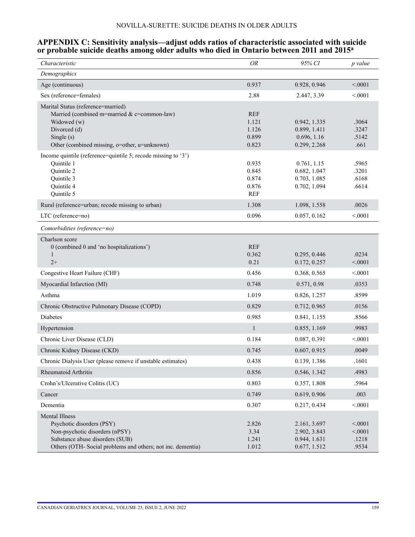### **APPENDIX C: Sensitivity analysis—adjust odds ratios of characteristic associated with suicide or probable suicide deaths among older adults who died in Ontario between 2011 and 2015a**

| Characteristic                                                                                                                                                                        | OR                                             | 95% CI                                                       | p value                              |
|---------------------------------------------------------------------------------------------------------------------------------------------------------------------------------------|------------------------------------------------|--------------------------------------------------------------|--------------------------------------|
| Demographics                                                                                                                                                                          |                                                |                                                              |                                      |
| Age (continuous)                                                                                                                                                                      | 0.937                                          | 0.928, 0.946                                                 | < 0001                               |
| Sex (reference=females)                                                                                                                                                               | 2.88                                           | 2.447, 3.39                                                  | < 0001                               |
| Marital Status (reference=married)<br>Married (combined m=married & c=common-law)<br>Widowed (w)<br>Divorced (d)<br>Single $(s)$<br>Other (combined missing, o=other, u=unknown)      | <b>REF</b><br>1.121<br>1.126<br>0.899<br>0.823 | 0.942, 1.335<br>0.899, 1.411<br>0.696, 1.16<br>0.299, 2.268  | .3064<br>.3247<br>.5142<br>.661      |
| Income quintile (reference=quintile 5; recode missing to '3')<br>Quintile 1<br>Quintile 2<br>Quintile 3<br>Quintile 4<br>Quintile 5                                                   | 0.935<br>0.845<br>0.874<br>0.876<br><b>REF</b> | 0.761, 1.15<br>0.682, 1.047<br>0.703, 1.085<br>0.702, 1.094  | .5965<br>.3201<br>.6168<br>.6614     |
| Rural (reference=urban; recode missing to urban)                                                                                                                                      | 1.308                                          | 1.098, 1.558                                                 | .0026                                |
| LTC (reference=no)                                                                                                                                                                    | 0.096                                          | 0.057, 0.162                                                 | < 0001                               |
| Comorbidities (reference=no)                                                                                                                                                          |                                                |                                                              |                                      |
| Charlson score<br>0 (combined 0 and 'no hospitalizations')<br>1<br>$2+$                                                                                                               | <b>REF</b><br>0.362<br>0.21                    | 0.295, 0.446<br>0.172, 0.257                                 | .0234<br>< 0001                      |
| Congestive Heart Failure (CHF)                                                                                                                                                        | 0.456                                          | 0.368, 0.565                                                 | < 0001                               |
| Myocardial Infarction (MI)                                                                                                                                                            | 0.748                                          | 0.571, 0.98                                                  | .0353                                |
| Asthma                                                                                                                                                                                | 1.019                                          | 0.826, 1.257                                                 | .8599                                |
| Chronic Obstructive Pulmonary Disease (COPD)                                                                                                                                          | 0.829                                          | 0.712, 0.965                                                 | .0156                                |
| Diabetes                                                                                                                                                                              | 0.985                                          | 0.841, 1.155                                                 | .8566                                |
| Hypertension                                                                                                                                                                          | $\mathbf{1}$                                   | 0.855, 1.169                                                 | .9983                                |
| Chronic Liver Disease (CLD)                                                                                                                                                           | 0.184                                          | 0.087, 0.391                                                 | < 0001                               |
| Chronic Kidney Disease (CKD)                                                                                                                                                          | 0.745                                          | 0.607, 0.915                                                 | .0049                                |
| Chronic Dialysis User (please remove if unstable estimates)                                                                                                                           | 0.438                                          | 0.139, 1.386                                                 | .1601                                |
| Rheumatoid Arthritis                                                                                                                                                                  | 0.856                                          | 0.546, 1.342                                                 | .4983                                |
| Crohn's/Ulcerative Colitis (UC)                                                                                                                                                       | 0.803                                          | 0.357, 1.808                                                 | .5964                                |
| Cancer                                                                                                                                                                                | 0.749                                          | 0.619, 0.906                                                 | .003                                 |
| Dementia                                                                                                                                                                              | 0.307                                          | 0.217, 0.434                                                 | < 0.001                              |
| <b>Mental Illness</b><br>Psychotic disorders (PSY)<br>Non-psychotic disorders (nPSY)<br>Substance abuse disorders (SUB)<br>Others (OTH-Social problems and others; not inc. dementia) | 2.826<br>3.34<br>1.241<br>1.012                | 2.161, 3.697<br>2.902, 3.843<br>0.944, 1.631<br>0.677, 1.512 | < 0.001<br>< 0.001<br>.1218<br>.9534 |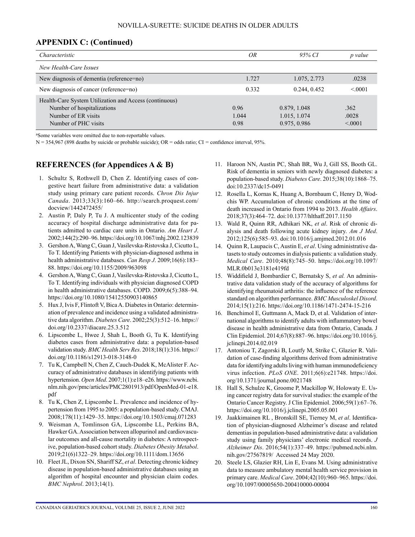### **APPENDIX C: (Continued)**

| Characteristic                                                                                                                      | OR                    | 95% CI                                       | p value                  |
|-------------------------------------------------------------------------------------------------------------------------------------|-----------------------|----------------------------------------------|--------------------------|
| New Health-Care Issues                                                                                                              |                       |                                              |                          |
| New diagnosis of dementia (reference=no)                                                                                            | 1.727                 | 1.075, 2.773                                 | .0238                    |
| New diagnosis of cancer (reference=no)                                                                                              | 0.332                 | 0.244, 0.452                                 | < 0.001                  |
| Health-Care System Utilization and Access (continuous)<br>Number of hospitalizations<br>Number of ER visits<br>Number of PHC visits | 0.96<br>1.044<br>0.98 | 0.879, 1.048<br>1.015, 1.074<br>0.975, 0.986 | .362<br>.0028<br>< 0.001 |

a Some variables were omitted due to non-reportable values.

N = 354,967 (898 deaths by suicide or probable suicide); OR = odds ratio; CI *=* confidence interval, 95%.

### **REFERENCES (for Appendices A & B)**

- 1. Schultz S, Rothwell D, Chen Z. Identifying cases of congestive heart failure from administrative data: a validation study using primary care patient records. *Chron Dis Injur Canada*. 2013;33(3):160–66. [http://search.proquest.com/](http://search.proquest.com/docview/1442472455/) [docview/1442472455/](http://search.proquest.com/docview/1442472455/)
- 2. Austin P, Daly P, Tu J. A multicenter study of the coding accuracy of hospital discharge administrative data for patients admitted to cardiac care units in Ontario. *Am Heart J*. 2002;144(2):290–96.<https://doi.org/10.1067/mhj.2002.123839>
- 3. Gershon A, Wang C, Guan J, Vasilevska-Ristovska J, Cicutto L, To T. Identifying Patients with physician-diagnosed asthma in health administrative databases. *Can Resp J*. 2009;16(6):183– 88.<https://doi.org/10.1155/2009/963098>
- 4. Gershon A, Wang C, Guan J, Vasilevska-Ristovska J, Cicutto L, To T. Identifying individuals with physician diagnosed COPD in health administrative databases. COPD. 2009;6(5):388–94. <https://doi.org/10.1080/15412550903140865>
- 5. Hux J, Ivis F, Flintoft V, Bica A. Diabetes in Ontario: determination of prevalence and incidence using a validated administrative data algorithm. *Diabetes Care*. 2002;25(3):512–16. [https://](https://doi.org/10.2337/diacare.25.3.512) [doi.org/10.2337/diacare.25.3.512](https://doi.org/10.2337/diacare.25.3.512)
- 6. Lipscombe L, Hwee J, Shah L, Booth G, Tu K. Identifying diabetes cases from administrative data: a population-based validation study. *BMC Health Serv Res*. 2018;18(1):316. [https://](https://doi.org/10.1186/s12913-018-3148-0) [doi.org/10.1186/s12913-018-3148-0](https://doi.org/10.1186/s12913-018-3148-0)
- 7. Tu K, Campbell N, Chen Z, Cauch-Dudek K, McAlister F. Accuracy of administrative databases in identifying patients with hypertension. *Open Med*. 2007;1(1):e18–e26. [https://www.ncbi.](https://www.ncbi.nlm.nih.gov/pmc/articles/PMC2801913/pdf/OpenMed-01-e18.pdf) [nlm.nih.gov/pmc/articles/PMC2801913/pdf/OpenMed-01-e18.](https://www.ncbi.nlm.nih.gov/pmc/articles/PMC2801913/pdf/OpenMed-01-e18.pdf) [pdf](https://www.ncbi.nlm.nih.gov/pmc/articles/PMC2801913/pdf/OpenMed-01-e18.pdf)
- 8. Tu K, Chen Z, Lipscombe L. Prevalence and incidence of hypertension from 1995 to 2005: a population-based study. CMAJ. 2008;178(11):1429–35.<https://doi.org/10.1503/cmaj.071283>
- 9. Weisman A, Tomlinson GA, Lipscombe LL, Perkins BA, Hawker GA. Association between allopurinol and cardiovascular outcomes and all-cause mortality in diabetes: A retrospective, population-based cohort study. *Diabetes Obesity Metabol*. 2019;21(6)1322–29. <https://doi.org/10.1111/dom.13656>
- 10. Fleet JL, Dixon SN, Shariff SZ, *et al*. Detecting chronic kidney disease in population-based administrative databases using an algorithm of hospital encounter and physician claim codes. *BMC Nephrol*. 2013;14(1).
- 11. Haroon NN, Austin PC, Shah BR, Wu J, Gill SS, Booth GL. Risk of dementia in seniors with newly diagnosed diabetes: a population-based study. *Diabetes Care*. 2015;38(10):1868–75. doi:10.2337/dc15-0491
- 12. Rosella L, Kornas K, Huang A, Bornbaum C, Henry D, Wodchis WP. Accumulation of chronic conditions at the time of death increased in Ontario from 1994 to 2013. *Health Affairs*. 2018;37(3):464–72. doi:10.1377/hlthaff.2017.1150
- 13. Wald R, Quinn RR, Adhikari NK, *et al*. Risk of chronic dialysis and death following acute kidney injury. *Am J Med*. 2012;125(6):585–93. doi:10.1016/j.amjmed.2012.01.016
- 14. Quinn R, Laupacis C, Austin E, *et al*. Using administrative datasets to study outcomes in dialysis patients: a validation study. *Medical Care*. 2010;48(8):745–50. [https://doi.org/10.1097/](https://doi.org/10.1097/MLR.0b013e3181e419fd) [MLR.0b013e3181e419fd](https://doi.org/10.1097/MLR.0b013e3181e419fd)
- 15. Widdifield J, Bombardier C, Bernatsky S, *et al.* An administrative data validation study of the accuracy of algorithms for identifying rheumatoid arthritis: the influence of the reference standard on algorithm performance. *BMC Musculoskel Disord*. 2014;15(1):216.<https://doi.org/10.1186/1471-2474-15-216>
- 16. Benchimol E, Guttmann A, Mack D, et al. Validation of international algorithms to identify adults with inflammatory bowel disease in health administrative data from Ontario, Canada. J Clin Epidemiol. 2014;67(8):887–96. [https://doi.org/10.1016/j.](https://doi.org/10.1016/j.jclinepi.2014.02.019) [jclinepi.2014.02.019](https://doi.org/10.1016/j.jclinepi.2014.02.019)
- 17. Antoniou T, Zagorski B, Loutfy M, Strike C, Glazier R. Validation of case-finding algorithms derived from administrative data for identifying adults living with human immunodeficiency virus infection. *PLoS ONE*. 2011;6(6):e21748. [https://doi.](https://doi.org/10.1371/journal.pone.0021748) [org/10.1371/journal.pone.0021748](https://doi.org/10.1371/journal.pone.0021748)
- 18. Hall S, Schulze K, Groome P, Mackillop W, Holowaty E. Using cancer registry data for survival studies: the example of the Ontario Cancer Registry. J Clin Epidemiol. 2006;59(1):67–76. <https://doi.org/10.1016/j.jclinepi.2005.05.001>
- 19. Jaakkimainen RL , Bronskill SE, Tierney M, *et al*. Identification of physician-diagnosed Alzheimer's disease and related dementias in population-based administrative data: a validation study using family physicians' electronic medical records. *J Alzheimer Dis*. 2016;54(1):337–49. https://pubmed.ncbi.nlm. nih.gov/27567819/ Accessed 24 May 2020.
- 20. Steele LS, Glazier RH, Lin E, Evans M. Using administrative data to measure ambulatory mental health service provision in primary care. *Medical Care*. 2004;42(10):960–965. [https://doi.](https://doi.org/10.1097/00005650-200410000-00004) [org/10.1097/00005650-200410000-00004](https://doi.org/10.1097/00005650-200410000-00004)